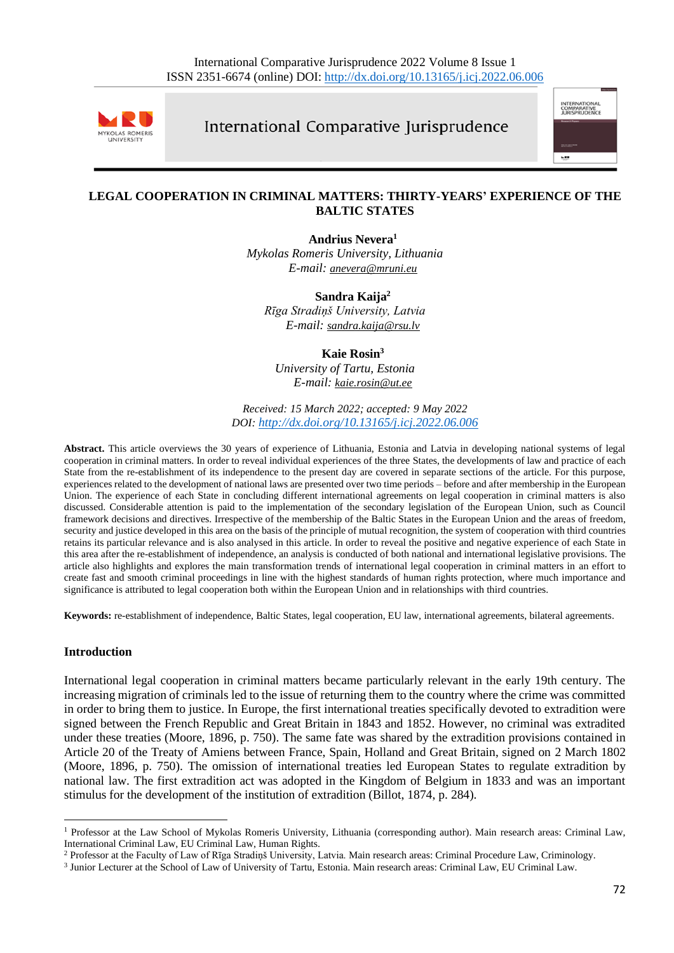

International Comparative Jurisprudence



### **LEGAL COOPERATION IN CRIMINAL MATTERS: THIRTY-YEARS' EXPERIENCE OF THE BALTIC STATES**

**Andrius Nevera<sup>1</sup>** *Mykolas Romeris University, Lithuania E-mail: [anevera@mruni.eu](mailto:anevera@mruni.eu)*

**Sandra Kaija<sup>2</sup>** *Rīga Stradiņš University, Latvia E-mail: [sandra.kaija@rsu.lv](mailto:sandra.kaija@rsu.lv)*

**Kaie Rosin<sup>3</sup>** *University of Tartu, Estonia E-mail: [kaie.rosin@ut.ee](file:///C:/Users/Brian/Downloads/kaie.rosin@ut.ee)*

*Received: 15 March 2022; accepted: 9 May 2022 DOI: <http://dx.doi.org/10.13165/j.icj.2022.06.006>*

**Abstract.** This article overviews the 30 years of experience of Lithuania, Estonia and Latvia in developing national systems of legal cooperation in criminal matters. In order to reveal individual experiences of the three States, the developments of law and practice of each State from the re-establishment of its independence to the present day are covered in separate sections of the article. For this purpose, experiences related to the development of national laws are presented over two time periods – before and after membership in the European Union. The experience of each State in concluding different international agreements on legal cooperation in criminal matters is also discussed. Considerable attention is paid to the implementation of the secondary legislation of the European Union, such as Council framework decisions and directives. Irrespective of the membership of the Baltic States in the European Union and the areas of freedom, security and justice developed in this area on the basis of the principle of mutual recognition, the system of cooperation with third countries retains its particular relevance and is also analysed in this article. In order to reveal the positive and negative experience of each State in this area after the re-establishment of independence, an analysis is conducted of both national and international legislative provisions. The article also highlights and explores the main transformation trends of international legal cooperation in criminal matters in an effort to create fast and smooth criminal proceedings in line with the highest standards of human rights protection, where much importance and significance is attributed to legal cooperation both within the European Union and in relationships with third countries.

**Keywords:** re-establishment of independence, Baltic States, legal cooperation, EU law, international agreements, bilateral agreements.

#### **Introduction**

International legal cooperation in criminal matters became particularly relevant in the early 19th century. The increasing migration of criminals led to the issue of returning them to the country where the crime was committed in order to bring them to justice. In Europe, the first international treaties specifically devoted to extradition were signed between the French Republic and Great Britain in 1843 and 1852. However, no criminal was extradited under these treaties (Moore, 1896, p. 750). The same fate was shared by the extradition provisions contained in Article 20 of the Treaty of Amiens between France, Spain, Holland and Great Britain, signed on 2 March 1802 (Moore, 1896, p. 750). The omission of international treaties led European States to regulate extradition by national law. The first extradition act was adopted in the Kingdom of Belgium in 1833 and was an important stimulus for the development of the institution of extradition (Billot, 1874, p. 284).

<sup>&</sup>lt;sup>1</sup> Professor at the Law School of Mykolas Romeris University, Lithuania (corresponding author). Main research areas: Criminal Law, International Criminal Law, EU Criminal Law, Human Rights.

<sup>2</sup> Professor at the Faculty of Law of Rīga Stradiņš University, Latvia. Main research areas: Criminal Procedure Law, Criminology.

<sup>&</sup>lt;sup>3</sup> Junior Lecturer at the School of Law of University of Tartu, Estonia. Main research areas: Criminal Law, EU Criminal Law.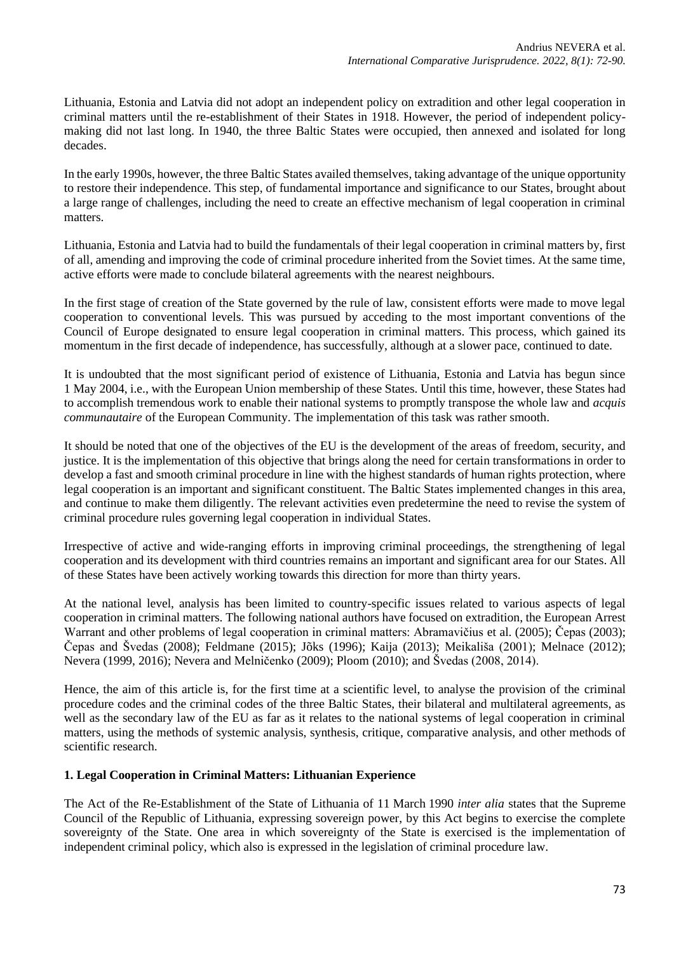Lithuania, Estonia and Latvia did not adopt an independent policy on extradition and other legal cooperation in criminal matters until the re-establishment of their States in 1918. However, the period of independent policymaking did not last long. In 1940, the three Baltic States were occupied, then annexed and isolated for long decades.

In the early 1990s, however, the three Baltic States availed themselves, taking advantage of the unique opportunity to restore their independence. This step, of fundamental importance and significance to our States, brought about a large range of challenges, including the need to create an effective mechanism of legal cooperation in criminal matters.

Lithuania, Estonia and Latvia had to build the fundamentals of their legal cooperation in criminal matters by, first of all, amending and improving the code of criminal procedure inherited from the Soviet times. At the same time, active efforts were made to conclude bilateral agreements with the nearest neighbours.

In the first stage of creation of the State governed by the rule of law, consistent efforts were made to move legal cooperation to conventional levels. This was pursued by acceding to the most important conventions of the Council of Europe designated to ensure legal cooperation in criminal matters. This process, which gained its momentum in the first decade of independence, has successfully, although at a slower pace, continued to date.

It is undoubted that the most significant period of existence of Lithuania, Estonia and Latvia has begun since 1 May 2004, i.e., with the European Union membership of these States. Until this time, however, these States had to accomplish tremendous work to enable their national systems to promptly transpose the whole law and *acquis communautaire* of the European Community. The implementation of this task was rather smooth.

It should be noted that one of the objectives of the EU is the development of the areas of freedom, security, and justice. It is the implementation of this objective that brings along the need for certain transformations in order to develop a fast and smooth criminal procedure in line with the highest standards of human rights protection, where legal cooperation is an important and significant constituent. The Baltic States implemented changes in this area, and continue to make them diligently. The relevant activities even predetermine the need to revise the system of criminal procedure rules governing legal cooperation in individual States.

Irrespective of active and wide-ranging efforts in improving criminal proceedings, the strengthening of legal cooperation and its development with third countries remains an important and significant area for our States. All of these States have been actively working towards this direction for more than thirty years.

At the national level, analysis has been limited to country-specific issues related to various aspects of legal cooperation in criminal matters. The following national authors have focused on extradition, the European Arrest Warrant and other problems of legal cooperation in criminal matters: Abramavičius et al. (2005); Čepas (2003); Čepas and Švedas (2008); Feldmane (2015); Jõks (1996); Kaija (2013); Meikališa (2001); Melnace (2012); Nevera (1999, 2016); Nevera and Melničenko (2009); Ploom (2010); and Švedas (2008, 2014).

Hence, the aim of this article is, for the first time at a scientific level, to analyse the provision of the criminal procedure codes and the criminal codes of the three Baltic States, their bilateral and multilateral agreements, as well as the secondary law of the EU as far as it relates to the national systems of legal cooperation in criminal matters, using the methods of systemic analysis, synthesis, critique, comparative analysis, and other methods of scientific research.

# **1. Legal Cooperation in Criminal Matters: Lithuanian Experience**

The Act of the Re-Establishment of the State of Lithuania of 11 March 1990 *inter alia* states that the Supreme Council of the Republic of Lithuania, expressing sovereign power, by this Act begins to exercise the complete sovereignty of the State. One area in which sovereignty of the State is exercised is the implementation of independent criminal policy, which also is expressed in the legislation of criminal procedure law.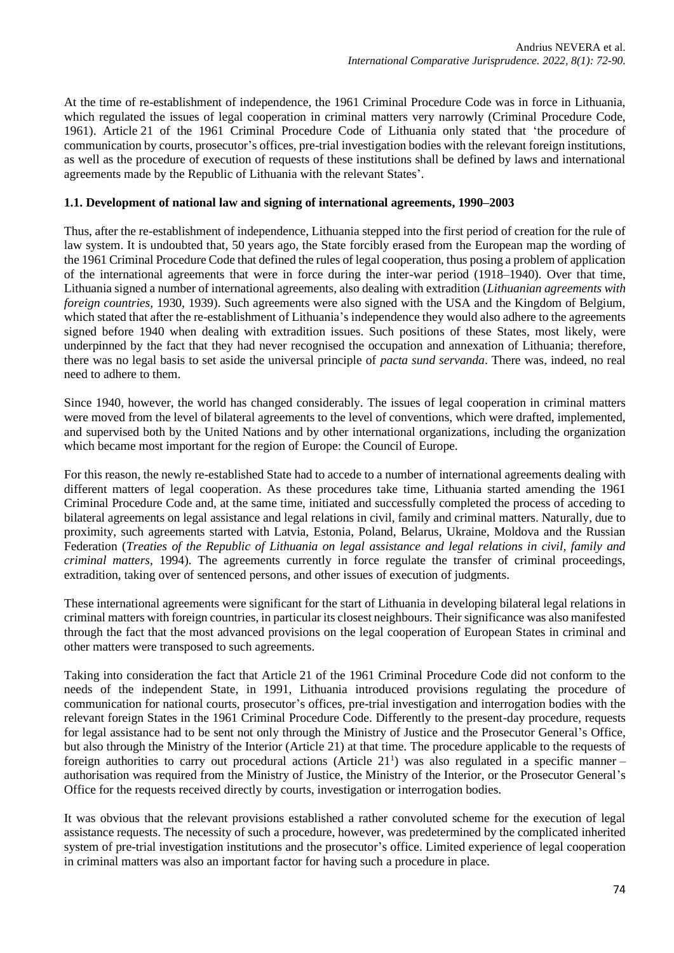At the time of re-establishment of independence, the 1961 Criminal Procedure Code was in force in Lithuania, which regulated the issues of legal cooperation in criminal matters very narrowly (Criminal Procedure Code, 1961). Article 21 of the 1961 Criminal Procedure Code of Lithuania only stated that 'the procedure of communication by courts, prosecutor's offices, pre-trial investigation bodies with the relevant foreign institutions, as well as the procedure of execution of requests of these institutions shall be defined by laws and international agreements made by the Republic of Lithuania with the relevant States'.

# **1.1. Development of national law and signing of international agreements, 1990–2003**

Thus, after the re-establishment of independence, Lithuania stepped into the first period of creation for the rule of law system. It is undoubted that, 50 years ago, the State forcibly erased from the European map the wording of the 1961 Criminal Procedure Code that defined the rules of legal cooperation, thus posing a problem of application of the international agreements that were in force during the inter-war period (1918–1940). Over that time, Lithuania signed a number of international agreements, also dealing with extradition (*Lithuanian agreements with foreign countries*, 1930, 1939). Such agreements were also signed with the USA and the Kingdom of Belgium, which stated that after the re-establishment of Lithuania's independence they would also adhere to the agreements signed before 1940 when dealing with extradition issues. Such positions of these States, most likely, were underpinned by the fact that they had never recognised the occupation and annexation of Lithuania; therefore, there was no legal basis to set aside the universal principle of *pacta sund servanda*. There was, indeed, no real need to adhere to them.

Since 1940, however, the world has changed considerably. The issues of legal cooperation in criminal matters were moved from the level of bilateral agreements to the level of conventions, which were drafted, implemented, and supervised both by the United Nations and by other international organizations, including the organization which became most important for the region of Europe: the Council of Europe.

For this reason, the newly re-established State had to accede to a number of international agreements dealing with different matters of legal cooperation. As these procedures take time, Lithuania started amending the 1961 Criminal Procedure Code and, at the same time, initiated and successfully completed the process of acceding to bilateral agreements on legal assistance and legal relations in civil, family and criminal matters. Naturally, due to proximity, such agreements started with Latvia, Estonia, Poland, Belarus, Ukraine, Moldova and the Russian Federation (*Treaties of the Republic of Lithuania on legal assistance and legal relations in civil, family and criminal matters*, 1994). The agreements currently in force regulate the transfer of criminal proceedings, extradition, taking over of sentenced persons, and other issues of execution of judgments.

These international agreements were significant for the start of Lithuania in developing bilateral legal relations in criminal matters with foreign countries, in particular its closest neighbours. Their significance was also manifested through the fact that the most advanced provisions on the legal cooperation of European States in criminal and other matters were transposed to such agreements.

Taking into consideration the fact that Article 21 of the 1961 Criminal Procedure Code did not conform to the needs of the independent State, in 1991, Lithuania introduced provisions regulating the procedure of communication for national courts, prosecutor's offices, pre-trial investigation and interrogation bodies with the relevant foreign States in the 1961 Criminal Procedure Code. Differently to the present-day procedure, requests for legal assistance had to be sent not only through the Ministry of Justice and the Prosecutor General's Office, but also through the Ministry of the Interior (Article 21) at that time. The procedure applicable to the requests of foreign authorities to carry out procedural actions (Article 21<sup>1</sup>) was also regulated in a specific manner authorisation was required from the Ministry of Justice, the Ministry of the Interior, or the Prosecutor General's Office for the requests received directly by courts, investigation or interrogation bodies.

It was obvious that the relevant provisions established a rather convoluted scheme for the execution of legal assistance requests. The necessity of such a procedure, however, was predetermined by the complicated inherited system of pre-trial investigation institutions and the prosecutor's office. Limited experience of legal cooperation in criminal matters was also an important factor for having such a procedure in place.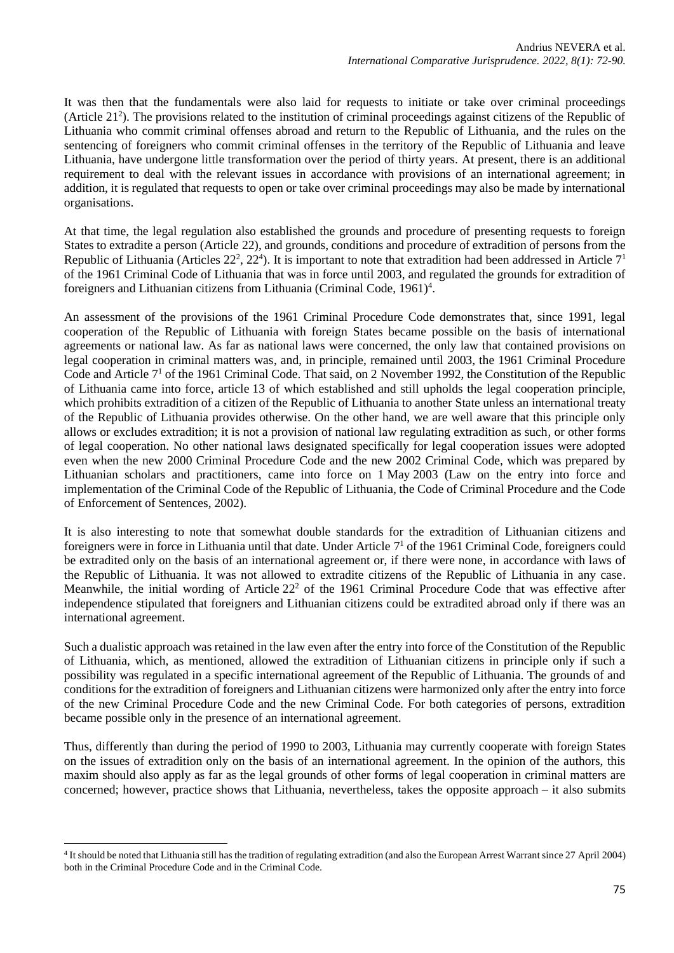It was then that the fundamentals were also laid for requests to initiate or take over criminal proceedings (Article  $21<sup>2</sup>$ ). The provisions related to the institution of criminal proceedings against citizens of the Republic of Lithuania who commit criminal offenses abroad and return to the Republic of Lithuania, and the rules on the sentencing of foreigners who commit criminal offenses in the territory of the Republic of Lithuania and leave Lithuania, have undergone little transformation over the period of thirty years. At present, there is an additional requirement to deal with the relevant issues in accordance with provisions of an international agreement; in addition, it is regulated that requests to open or take over criminal proceedings may also be made by international organisations.

At that time, the legal regulation also established the grounds and procedure of presenting requests to foreign States to extradite a person (Article 22), and grounds, conditions and procedure of extradition of persons from the Republic of Lithuania (Articles  $22^2$ ,  $22^4$ ). It is important to note that extradition had been addressed in Article  $7^1$ of the 1961 Criminal Code of Lithuania that was in force until 2003, and regulated the grounds for extradition of foreigners and Lithuanian citizens from Lithuania (Criminal Code,  $1961$ )<sup>4</sup>.

An assessment of the provisions of the 1961 Criminal Procedure Code demonstrates that, since 1991, legal cooperation of the Republic of Lithuania with foreign States became possible on the basis of international agreements or national law. As far as national laws were concerned, the only law that contained provisions on legal cooperation in criminal matters was, and, in principle, remained until 2003, the 1961 Criminal Procedure Code and Article 7<sup>1</sup> of the 1961 Criminal Code. That said, on 2 November 1992, the Constitution of the Republic of Lithuania came into force, article 13 of which established and still upholds the legal cooperation principle, which prohibits extradition of a citizen of the Republic of Lithuania to another State unless an international treaty of the Republic of Lithuania provides otherwise. On the other hand, we are well aware that this principle only allows or excludes extradition; it is not a provision of national law regulating extradition as such, or other forms of legal cooperation. No other national laws designated specifically for legal cooperation issues were adopted even when the new 2000 Criminal Procedure Code and the new 2002 Criminal Code, which was prepared by Lithuanian scholars and practitioners, came into force on 1 May 2003 (Law on the entry into force and implementation of the Criminal Code of the Republic of Lithuania, the Code of Criminal Procedure and the Code of Enforcement of Sentences, 2002).

It is also interesting to note that somewhat double standards for the extradition of Lithuanian citizens and foreigners were in force in Lithuania until that date. Under Article 7<sup>1</sup> of the 1961 Criminal Code, foreigners could be extradited only on the basis of an international agreement or, if there were none, in accordance with laws of the Republic of Lithuania. It was not allowed to extradite citizens of the Republic of Lithuania in any case. Meanwhile, the initial wording of Article 22<sup>2</sup> of the 1961 Criminal Procedure Code that was effective after independence stipulated that foreigners and Lithuanian citizens could be extradited abroad only if there was an international agreement.

Such a dualistic approach was retained in the law even after the entry into force of the Constitution of the Republic of Lithuania, which, as mentioned, allowed the extradition of Lithuanian citizens in principle only if such a possibility was regulated in a specific international agreement of the Republic of Lithuania. The grounds of and conditions for the extradition of foreigners and Lithuanian citizens were harmonized only after the entry into force of the new Criminal Procedure Code and the new Criminal Code. For both categories of persons, extradition became possible only in the presence of an international agreement.

Thus, differently than during the period of 1990 to 2003, Lithuania may currently cooperate with foreign States on the issues of extradition only on the basis of an international agreement. In the opinion of the authors, this maxim should also apply as far as the legal grounds of other forms of legal cooperation in criminal matters are concerned; however, practice shows that Lithuania, nevertheless, takes the opposite approach – it also submits

<sup>4</sup> It should be noted that Lithuania still has the tradition of regulating extradition (and also the European Arrest Warrant since 27 April 2004) both in the Criminal Procedure Code and in the Criminal Code.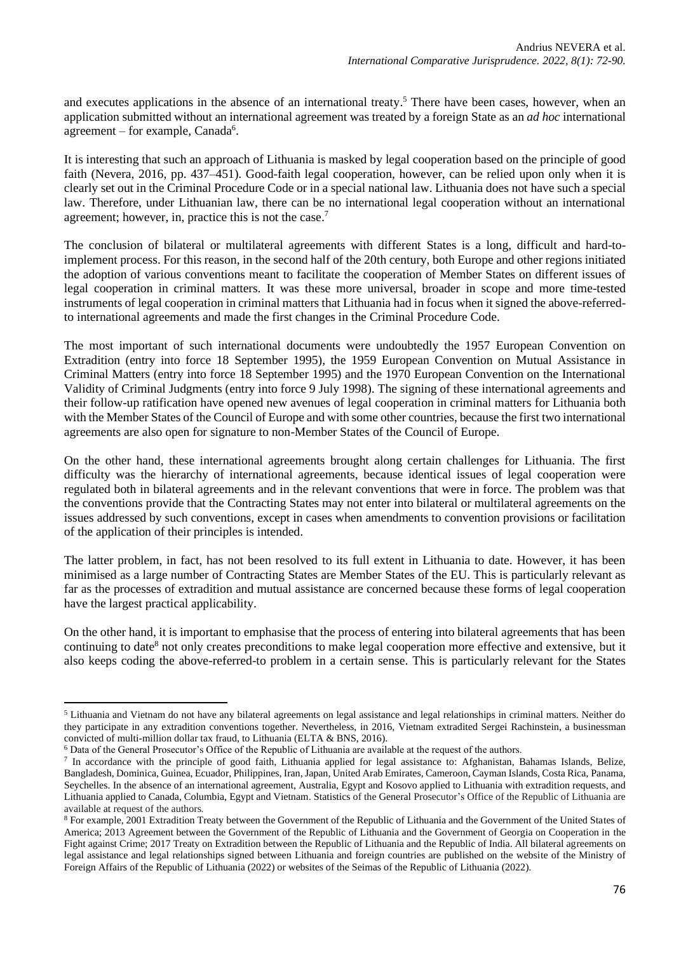and executes applications in the absence of an international treaty. <sup>5</sup> There have been cases, however, when an application submitted without an international agreement was treated by a foreign State as an *ad hoc* international agreement – for example, Canada<sup>6</sup>.

It is interesting that such an approach of Lithuania is masked by legal cooperation based on the principle of good faith (Nevera, 2016, pp. 437–451). Good-faith legal cooperation, however, can be relied upon only when it is clearly set out in the Criminal Procedure Code or in a special national law. Lithuania does not have such a special law. Therefore, under Lithuanian law, there can be no international legal cooperation without an international agreement; however, in, practice this is not the case.<sup>7</sup>

The conclusion of bilateral or multilateral agreements with different States is a long, difficult and hard-toimplement process. For this reason, in the second half of the 20th century, both Europe and other regions initiated the adoption of various conventions meant to facilitate the cooperation of Member States on different issues of legal cooperation in criminal matters. It was these more universal, broader in scope and more time-tested instruments of legal cooperation in criminal matters that Lithuania had in focus when it signed the above-referredto international agreements and made the first changes in the Criminal Procedure Code.

The most important of such international documents were undoubtedly the 1957 European Convention on Extradition (entry into force 18 September 1995), the 1959 European Convention on Mutual Assistance in Criminal Matters (entry into force 18 September 1995) and the 1970 European Convention on the International Validity of Criminal Judgments (entry into force 9 July 1998). The signing of these international agreements and their follow-up ratification have opened new avenues of legal cooperation in criminal matters for Lithuania both with the Member States of the Council of Europe and with some other countries, because the first two international agreements are also open for signature to non-Member States of the Council of Europe.

On the other hand, these international agreements brought along certain challenges for Lithuania. The first difficulty was the hierarchy of international agreements, because identical issues of legal cooperation were regulated both in bilateral agreements and in the relevant conventions that were in force. The problem was that the conventions provide that the Contracting States may not enter into bilateral or multilateral agreements on the issues addressed by such conventions, except in cases when amendments to convention provisions or facilitation of the application of their principles is intended.

The latter problem, in fact, has not been resolved to its full extent in Lithuania to date. However, it has been minimised as a large number of Contracting States are Member States of the EU. This is particularly relevant as far as the processes of extradition and mutual assistance are concerned because these forms of legal cooperation have the largest practical applicability.

On the other hand, it is important to emphasise that the process of entering into bilateral agreements that has been continuing to date<sup>8</sup> not only creates preconditions to make legal cooperation more effective and extensive, but it also keeps coding the above-referred-to problem in a certain sense. This is particularly relevant for the States

<sup>5</sup> Lithuania and Vietnam do not have any bilateral agreements on legal assistance and legal relationships in criminal matters. Neither do they participate in any extradition conventions together. Nevertheless, in 2016, Vietnam extradited Sergei Rachinstein, a businessman convicted of multi-million dollar tax fraud, to Lithuania (ELTA & BNS, 2016).

<sup>6</sup> Data of the General Prosecutor's Office of the Republic of Lithuania are available at the request of the authors.

<sup>7</sup> In accordance with the principle of good faith, Lithuania applied for legal assistance to: Afghanistan, Bahamas Islands, Belize, Bangladesh, Dominica, Guinea, Ecuador, Philippines, Iran, Japan, United Arab Emirates, Cameroon, Cayman Islands, Costa Rica, Panama, Seychelles. In the absence of an international agreement, Australia, Egypt and Kosovo applied to Lithuania with extradition requests, and Lithuania applied to Canada, Columbia, Egypt and Vietnam. Statistics of the General Prosecutor's Office of the Republic of Lithuania are available at request of the authors.

<sup>8</sup> For example, 2001 Extradition Treaty between the Government of the Republic of Lithuania and the Government of the United States of America; 2013 Agreement between the Government of the Republic of Lithuania and the Government of Georgia on Cooperation in the Fight against Crime; 2017 Treaty on Extradition between the Republic of Lithuania and the Republic of India. All bilateral agreements on legal assistance and legal relationships signed between Lithuania and foreign countries are published on the website of the Ministry of Foreign Affairs of the Republic of Lithuania (2022) or websites of the Seimas of the Republic of Lithuania (2022).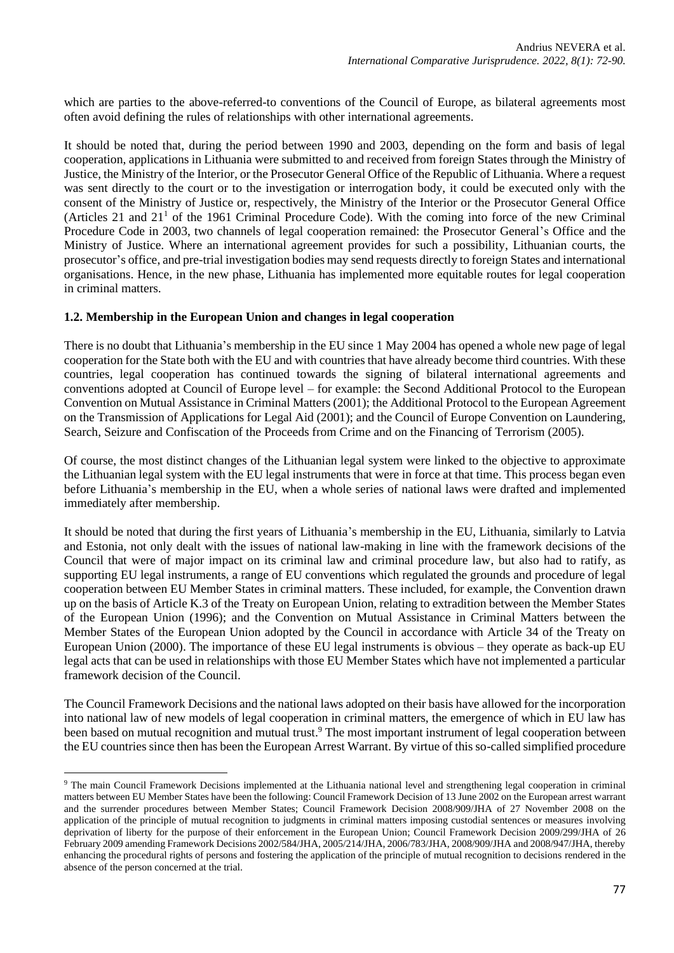which are parties to the above-referred-to conventions of the Council of Europe, as bilateral agreements most often avoid defining the rules of relationships with other international agreements.

It should be noted that, during the period between 1990 and 2003, depending on the form and basis of legal cooperation, applications in Lithuania were submitted to and received from foreign States through the Ministry of Justice, the Ministry of the Interior, or the Prosecutor General Office of the Republic of Lithuania. Where a request was sent directly to the court or to the investigation or interrogation body, it could be executed only with the consent of the Ministry of Justice or, respectively, the Ministry of the Interior or the Prosecutor General Office (Articles 21 and  $21<sup>1</sup>$  of the 1961 Criminal Procedure Code). With the coming into force of the new Criminal Procedure Code in 2003, two channels of legal cooperation remained: the Prosecutor General's Office and the Ministry of Justice. Where an international agreement provides for such a possibility, Lithuanian courts, the prosecutor's office, and pre-trial investigation bodies may send requests directly to foreign States and international organisations. Hence, in the new phase, Lithuania has implemented more equitable routes for legal cooperation in criminal matters.

### **1.2. Membership in the European Union and changes in legal cooperation**

There is no doubt that Lithuania's membership in the EU since 1 May 2004 has opened a whole new page of legal cooperation for the State both with the EU and with countries that have already become third countries. With these countries, legal cooperation has continued towards the signing of bilateral international agreements and conventions adopted at Council of Europe level – for example: the Second Additional Protocol to the European Convention on Mutual Assistance in Criminal Matters (2001); the Additional Protocol to the European Agreement on the Transmission of Applications for Legal Aid (2001); and the Council of Europe Convention on Laundering, Search, Seizure and Confiscation of the Proceeds from Crime and on the Financing of Terrorism (2005).

Of course, the most distinct changes of the Lithuanian legal system were linked to the objective to approximate the Lithuanian legal system with the EU legal instruments that were in force at that time. This process began even before Lithuania's membership in the EU, when a whole series of national laws were drafted and implemented immediately after membership.

It should be noted that during the first years of Lithuania's membership in the EU, Lithuania, similarly to Latvia and Estonia, not only dealt with the issues of national law-making in line with the framework decisions of the Council that were of major impact on its criminal law and criminal procedure law, but also had to ratify, as supporting EU legal instruments, a range of EU conventions which regulated the grounds and procedure of legal cooperation between EU Member States in criminal matters. These included, for example, the Convention drawn up on the basis of Article K.3 of the Treaty on European Union, relating to extradition between the Member States of the European Union (1996); and the Convention on Mutual Assistance in Criminal Matters between the Member States of the European Union adopted by the Council in accordance with Article 34 of the Treaty on European Union (2000). The importance of these EU legal instruments is obvious – they operate as back-up EU legal acts that can be used in relationships with those EU Member States which have not implemented a particular framework decision of the Council.

The Council Framework Decisions and the national laws adopted on their basis have allowed for the incorporation into national law of new models of legal cooperation in criminal matters, the emergence of which in EU law has been based on mutual recognition and mutual trust.<sup>9</sup> The most important instrument of legal cooperation between the EU countries since then has been the European Arrest Warrant. By virtue of this so-called simplified procedure

<sup>9</sup> The main Council Framework Decisions implemented at the Lithuania national level and strengthening legal cooperation in criminal matters between EU Member States have been the following: Council Framework Decision of 13 June 2002 on the European arrest warrant and the surrender procedures between Member States; Council Framework Decision 2008/909/JHA of 27 November 2008 on the application of the principle of mutual recognition to judgments in criminal matters imposing custodial sentences or measures involving deprivation of liberty for the purpose of their enforcement in the European Union; Council Framework Decision 2009/299/JHA of 26 February 2009 amending Framework Decisions 2002/584/JHA, 2005/214/JHA, 2006/783/JHA, 2008/909/JHA and 2008/947/JHA, thereby enhancing the procedural rights of persons and fostering the application of the principle of mutual recognition to decisions rendered in the absence of the person concerned at the trial.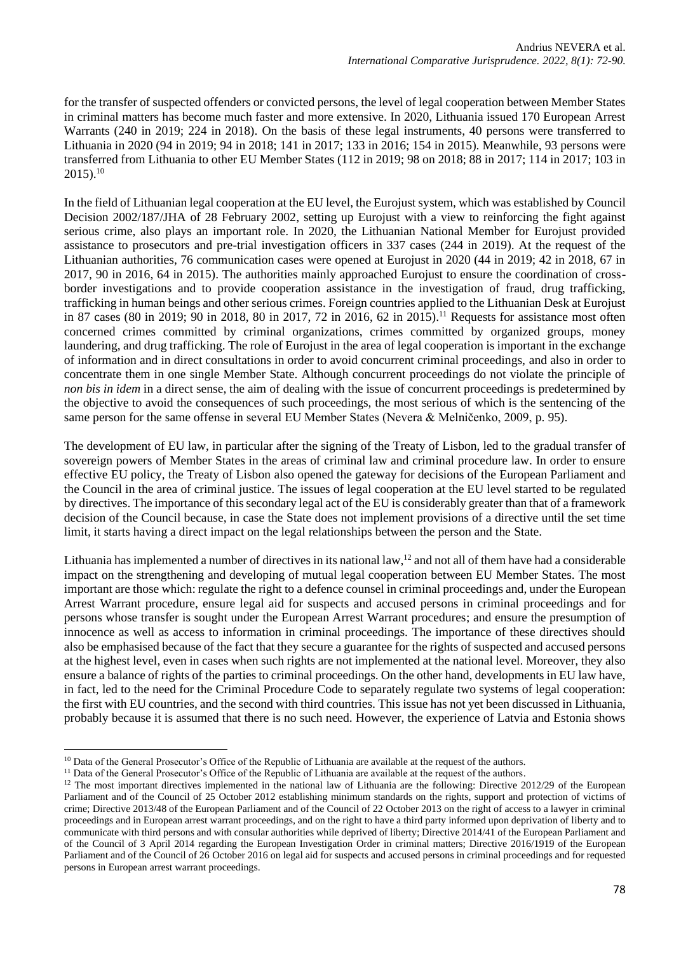for the transfer of suspected offenders or convicted persons, the level of legal cooperation between Member States in criminal matters has become much faster and more extensive. In 2020, Lithuania issued 170 European Arrest Warrants (240 in 2019; 224 in 2018). On the basis of these legal instruments, 40 persons were transferred to Lithuania in 2020 (94 in 2019; 94 in 2018; 141 in 2017; 133 in 2016; 154 in 2015). Meanwhile, 93 persons were transferred from Lithuania to other EU Member States (112 in 2019; 98 on 2018; 88 in 2017; 114 in 2017; 103 in  $2015$ ).<sup>10</sup>

In the field of Lithuanian legal cooperation at the EU level, the Eurojust system, which was established by Council Decision 2002/187/JHA of 28 February 2002, setting up Eurojust with a view to reinforcing the fight against serious crime, also plays an important role. In 2020, the Lithuanian National Member for Eurojust provided assistance to prosecutors and pre-trial investigation officers in 337 cases (244 in 2019). At the request of the Lithuanian authorities, 76 communication cases were opened at Eurojust in 2020 (44 in 2019; 42 in 2018, 67 in 2017, 90 in 2016, 64 in 2015). The authorities mainly approached Eurojust to ensure the coordination of crossborder investigations and to provide cooperation assistance in the investigation of fraud, drug trafficking, trafficking in human beings and other serious crimes. Foreign countries applied to the Lithuanian Desk at Eurojust in 87 cases (80 in 2019; 90 in 2018, 80 in 2017, 72 in 2016, 62 in 2015). <sup>11</sup> Requests for assistance most often concerned crimes committed by criminal organizations, crimes committed by organized groups, money laundering, and drug trafficking. The role of Eurojust in the area of legal cooperation is important in the exchange of information and in direct consultations in order to avoid concurrent criminal proceedings, and also in order to concentrate them in one single Member State. Although concurrent proceedings do not violate the principle of *non bis in idem* in a direct sense, the aim of dealing with the issue of concurrent proceedings is predetermined by the objective to avoid the consequences of such proceedings, the most serious of which is the sentencing of the same person for the same offense in several EU Member States (Nevera & Melničenko, 2009, p. 95).

The development of EU law, in particular after the signing of the Treaty of Lisbon, led to the gradual transfer of sovereign powers of Member States in the areas of criminal law and criminal procedure law. In order to ensure effective EU policy, the Treaty of Lisbon also opened the gateway for decisions of the European Parliament and the Council in the area of criminal justice. The issues of legal cooperation at the EU level started to be regulated by directives. The importance of this secondary legal act of the EU is considerably greater than that of a framework decision of the Council because, in case the State does not implement provisions of a directive until the set time limit, it starts having a direct impact on the legal relationships between the person and the State.

Lithuania has implemented a number of directives in its national law,<sup>12</sup> and not all of them have had a considerable impact on the strengthening and developing of mutual legal cooperation between EU Member States. The most important are those which: regulate the right to a defence counsel in criminal proceedings and, under the European Arrest Warrant procedure, ensure legal aid for suspects and accused persons in criminal proceedings and for persons whose transfer is sought under the European Arrest Warrant procedures; and ensure the presumption of innocence as well as access to information in criminal proceedings. The importance of these directives should also be emphasised because of the fact that they secure a guarantee for the rights of suspected and accused persons at the highest level, even in cases when such rights are not implemented at the national level. Moreover, they also ensure a balance of rights of the parties to criminal proceedings. On the other hand, developments in EU law have, in fact, led to the need for the Criminal Procedure Code to separately regulate two systems of legal cooperation: the first with EU countries, and the second with third countries. This issue has not yet been discussed in Lithuania, probably because it is assumed that there is no such need. However, the experience of Latvia and Estonia shows

<sup>&</sup>lt;sup>10</sup> Data of the General Prosecutor's Office of the Republic of Lithuania are available at the request of the authors.

<sup>&</sup>lt;sup>11</sup> Data of the General Prosecutor's Office of the Republic of Lithuania are available at the request of the authors.

 $12$  The most important directives implemented in the national law of Lithuania are the following: Directive 2012/29 of the European Parliament and of the Council of 25 October 2012 establishing minimum standards on the rights, support and protection of victims of crime; Directive 2013/48 of the European Parliament and of the Council of 22 October 2013 on the right of access to a lawyer in criminal proceedings and in European arrest warrant proceedings, and on the right to have a third party informed upon deprivation of liberty and to communicate with third persons and with consular authorities while deprived of liberty; Directive 2014/41 of the European Parliament and of the Council of 3 April 2014 regarding the European Investigation Order in criminal matters; Directive 2016/1919 of the European Parliament and of the Council of 26 October 2016 on legal aid for suspects and accused persons in criminal proceedings and for requested persons in European arrest warrant proceedings.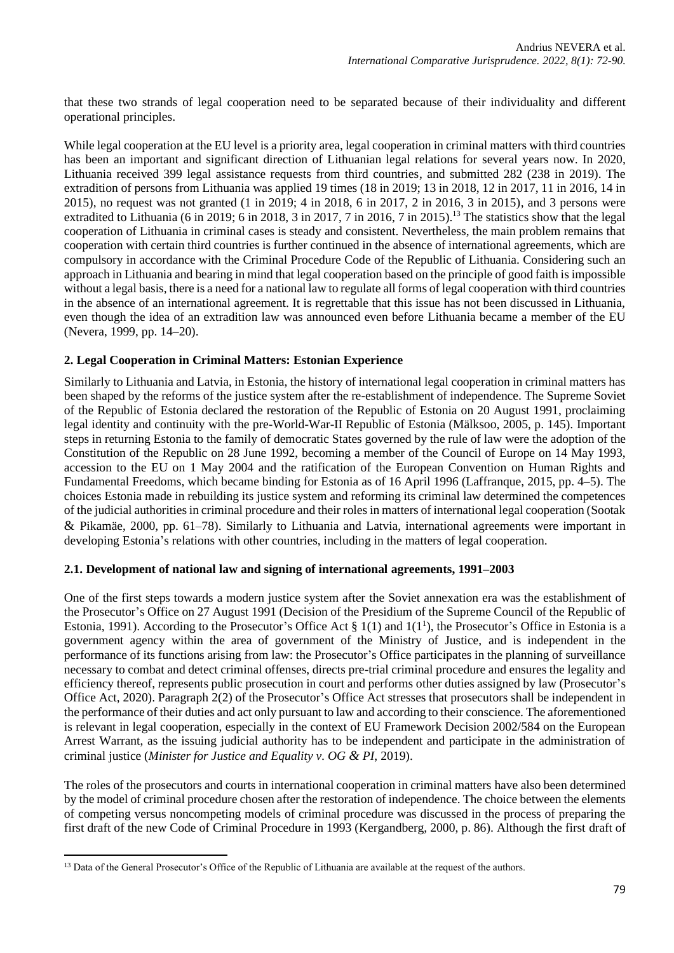that these two strands of legal cooperation need to be separated because of their individuality and different operational principles.

While legal cooperation at the EU level is a priority area, legal cooperation in criminal matters with third countries has been an important and significant direction of Lithuanian legal relations for several years now. In 2020, Lithuania received 399 legal assistance requests from third countries, and submitted 282 (238 in 2019). The extradition of persons from Lithuania was applied 19 times (18 in 2019; 13 in 2018, 12 in 2017, 11 in 2016, 14 in 2015), no request was not granted (1 in 2019; 4 in 2018, 6 in 2017, 2 in 2016, 3 in 2015), and 3 persons were extradited to Lithuania (6 in 2019; 6 in 2018, 3 in 2017, 7 in 2016, 7 in 2015).<sup>13</sup> The statistics show that the legal cooperation of Lithuania in criminal cases is steady and consistent. Nevertheless, the main problem remains that cooperation with certain third countries is further continued in the absence of international agreements, which are compulsory in accordance with the Criminal Procedure Code of the Republic of Lithuania. Considering such an approach in Lithuania and bearing in mind that legal cooperation based on the principle of good faith is impossible without a legal basis, there is a need for a national law to regulate all forms of legal cooperation with third countries in the absence of an international agreement. It is regrettable that this issue has not been discussed in Lithuania, even though the idea of an extradition law was announced even before Lithuania became a member of the EU (Nevera, 1999, pp. 14–20).

# **2. Legal Cooperation in Criminal Matters: Estonian Experience**

Similarly to Lithuania and Latvia, in Estonia, the history of international legal cooperation in criminal matters has been shaped by the reforms of the justice system after the re-establishment of independence. The Supreme Soviet of the Republic of Estonia declared the restoration of the Republic of Estonia on 20 August 1991, proclaiming legal identity and continuity with the pre-World-War-II Republic of Estonia (Mälksoo, 2005, p. 145). Important steps in returning Estonia to the family of democratic States governed by the rule of law were the adoption of the Constitution of the Republic on 28 June 1992, becoming a member of the Council of Europe on 14 May 1993, accession to the EU on 1 May 2004 and the ratification of the European Convention on Human Rights and Fundamental Freedoms, which became binding for Estonia as of 16 April 1996 (Laffranque, 2015, pp. 4–5). The choices Estonia made in rebuilding its justice system and reforming its criminal law determined the competences of the judicial authorities in criminal procedure and their roles in matters of international legal cooperation (Sootak & Pikamäe, 2000, pp. 61–78). Similarly to Lithuania and Latvia, international agreements were important in developing Estonia's relations with other countries, including in the matters of legal cooperation.

# **2.1. Development of national law and signing of international agreements, 1991–2003**

One of the first steps towards a modern justice system after the Soviet annexation era was the establishment of the Prosecutor's Office on 27 August 1991 (Decision of the Presidium of the Supreme Council of the Republic of Estonia, 1991). According to the Prosecutor's Office Act  $\S 1(1)$  and  $1(1<sup>1</sup>)$ , the Prosecutor's Office in Estonia is a government agency within the area of government of the Ministry of Justice, and is independent in the performance of its functions arising from law: the Prosecutor's Office participates in the planning of surveillance necessary to combat and detect criminal offenses, directs pre-trial criminal procedure and ensures the legality and efficiency thereof, represents public prosecution in court and performs other duties assigned by law (Prosecutor's Office Act, 2020). Paragraph 2(2) of the Prosecutor's Office Act stresses that prosecutors shall be independent in the performance of their duties and act only pursuant to law and according to their conscience. The aforementioned is relevant in legal cooperation, especially in the context of EU Framework Decision 2002/584 on the European Arrest Warrant, as the issuing judicial authority has to be independent and participate in the administration of criminal justice (*Minister for Justice and Equality v. OG & PI*, 2019).

The roles of the prosecutors and courts in international cooperation in criminal matters have also been determined by the model of criminal procedure chosen after the restoration of independence. The choice between the elements of competing versus noncompeting models of criminal procedure was discussed in the process of preparing the first draft of the new Code of Criminal Procedure in 1993 (Kergandberg, 2000, p. 86). Although the first draft of

<sup>&</sup>lt;sup>13</sup> Data of the General Prosecutor's Office of the Republic of Lithuania are available at the request of the authors.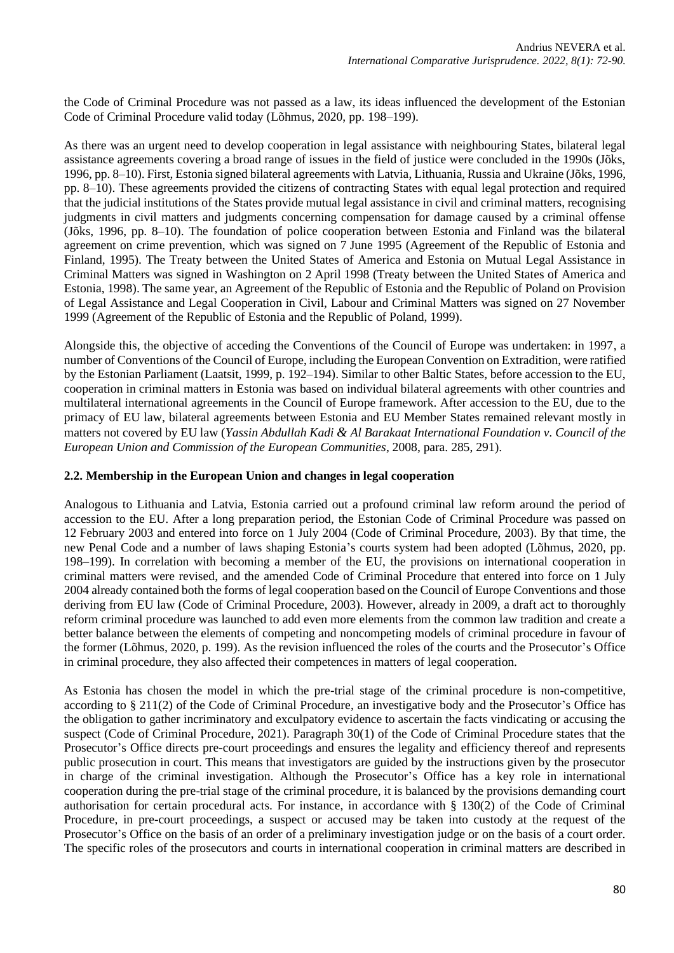the Code of Criminal Procedure was not passed as a law, its ideas influenced the development of the Estonian Code of Criminal Procedure valid today (Lõhmus, 2020, pp. 198–199).

As there was an urgent need to develop cooperation in legal assistance with neighbouring States, bilateral legal assistance agreements covering a broad range of issues in the field of justice were concluded in the 1990s (Jõks, 1996, pp. 8–10). First, Estonia signed bilateral agreements with Latvia, Lithuania, Russia and Ukraine (Jõks, 1996, pp. 8–10). These agreements provided the citizens of contracting States with equal legal protection and required that the judicial institutions of the States provide mutual legal assistance in civil and criminal matters, recognising judgments in civil matters and judgments concerning compensation for damage caused by a criminal offense (Jõks, 1996, pp. 8–10). The foundation of police cooperation between Estonia and Finland was the bilateral agreement on crime prevention, which was signed on 7 June 1995 (Agreement of the Republic of Estonia and Finland, 1995). The Treaty between the United States of America and Estonia on Mutual Legal Assistance in Criminal Matters was signed in Washington on 2 April 1998 (Treaty between the United States of America and Estonia, 1998). The same year, an Agreement of the Republic of Estonia and the Republic of Poland on Provision of Legal Assistance and Legal Cooperation in Civil, Labour and Criminal Matters was signed on 27 November 1999 (Agreement of the Republic of Estonia and the Republic of Poland, 1999).

Alongside this, the objective of acceding the Conventions of the Council of Europe was undertaken: in 1997, a number of Conventions of the Council of Europe, including the European Convention on Extradition, were ratified by the Estonian Parliament (Laatsit, 1999, p. 192–194). Similar to other Baltic States, before accession to the EU, cooperation in criminal matters in Estonia was based on individual bilateral agreements with other countries and multilateral international agreements in the Council of Europe framework. After accession to the EU, due to the primacy of EU law, bilateral agreements between Estonia and EU Member States remained relevant mostly in matters not covered by EU law (*Yassin Abdullah Kadi & Al Barakaat International Foundation v. Council of the European Union and Commission of the European Communities*, 2008, para. 285, 291).

# **2.2. Membership in the European Union and changes in legal cooperation**

Analogous to Lithuania and Latvia, Estonia carried out a profound criminal law reform around the period of accession to the EU. After a long preparation period, the Estonian Code of Criminal Procedure was passed on 12 February 2003 and entered into force on 1 July 2004 (Code of Criminal Procedure, 2003). By that time, the new Penal Code and a number of laws shaping Estonia's courts system had been adopted (Lõhmus, 2020, pp. 198–199). In correlation with becoming a member of the EU, the provisions on international cooperation in criminal matters were revised, and the amended Code of Criminal Procedure that entered into force on 1 July 2004 already contained both the forms of legal cooperation based on the Council of Europe Conventions and those deriving from EU law (Code of Criminal Procedure, 2003). However, already in 2009, a draft act to thoroughly reform criminal procedure was launched to add even more elements from the common law tradition and create a better balance between the elements of competing and noncompeting models of criminal procedure in favour of the former (Lõhmus, 2020, p. 199). As the revision influenced the roles of the courts and the Prosecutor's Office in criminal procedure, they also affected their competences in matters of legal cooperation.

As Estonia has chosen the model in which the pre-trial stage of the criminal procedure is non-competitive, according to § 211(2) of the Code of Criminal Procedure, an investigative body and the Prosecutor's Office has the obligation to gather incriminatory and exculpatory evidence to ascertain the facts vindicating or accusing the suspect (Code of Criminal Procedure, 2021). Paragraph 30(1) of the Code of Criminal Procedure states that the Prosecutor's Office directs pre-court proceedings and ensures the legality and efficiency thereof and represents public prosecution in court. This means that investigators are guided by the instructions given by the prosecutor in charge of the criminal investigation. Although the Prosecutor's Office has a key role in international cooperation during the pre-trial stage of the criminal procedure, it is balanced by the provisions demanding court authorisation for certain procedural acts. For instance, in accordance with § 130(2) of the Code of Criminal Procedure, in pre-court proceedings, a suspect or accused may be taken into custody at the request of the Prosecutor's Office on the basis of an order of a preliminary investigation judge or on the basis of a court order. The specific roles of the prosecutors and courts in international cooperation in criminal matters are described in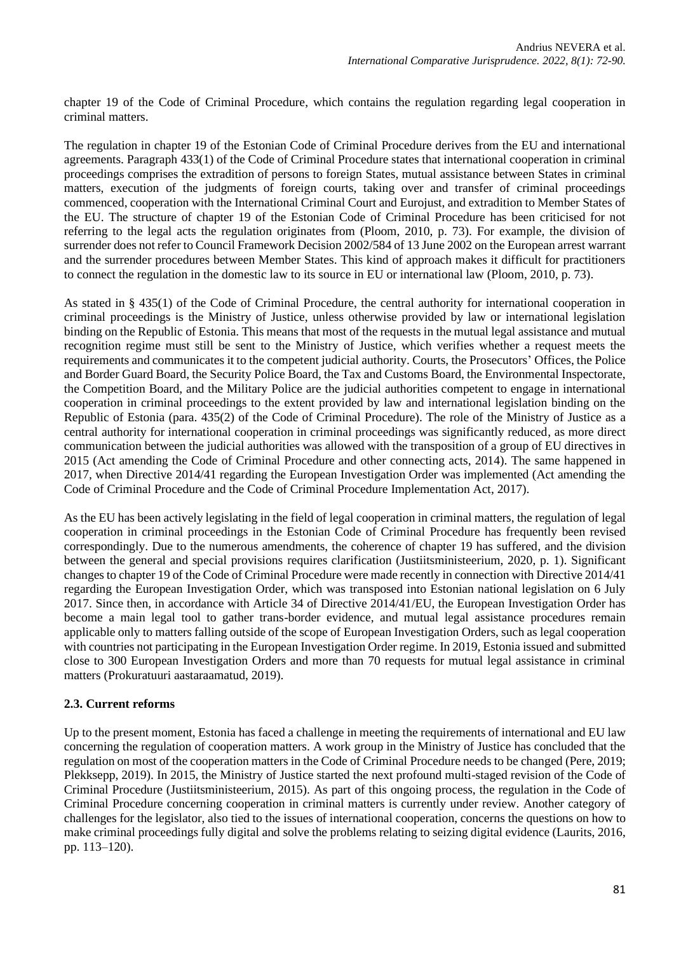chapter 19 of the Code of Criminal Procedure, which contains the regulation regarding legal cooperation in criminal matters.

The regulation in chapter 19 of the Estonian Code of Criminal Procedure derives from the EU and international agreements. Paragraph 433(1) of the Code of Criminal Procedure states that international cooperation in criminal proceedings comprises the extradition of persons to foreign States, mutual assistance between States in criminal matters, execution of the judgments of foreign courts, taking over and transfer of criminal proceedings commenced, cooperation with the International Criminal Court and Eurojust, and extradition to Member States of the EU. The structure of chapter 19 of the Estonian Code of Criminal Procedure has been criticised for not referring to the legal acts the regulation originates from (Ploom, 2010, p. 73). For example, the division of surrender does not refer to Council Framework Decision 2002/584 of 13 June 2002 on the European arrest warrant and the surrender procedures between Member States. This kind of approach makes it difficult for practitioners to connect the regulation in the domestic law to its source in EU or international law (Ploom, 2010, p. 73).

As stated in § 435(1) of the Code of Criminal Procedure, the central authority for international cooperation in criminal proceedings is the Ministry of Justice, unless otherwise provided by law or international legislation binding on the Republic of Estonia. This means that most of the requests in the mutual legal assistance and mutual recognition regime must still be sent to the Ministry of Justice, which verifies whether a request meets the requirements and communicates it to the competent judicial authority. Courts, the Prosecutors' Offices, the Police and Border Guard Board, the Security Police Board, the Tax and Customs Board, the Environmental Inspectorate, the Competition Board, and the Military Police are the judicial authorities competent to engage in international cooperation in criminal proceedings to the extent provided by law and international legislation binding on the Republic of Estonia (para. 435(2) of the Code of Criminal Procedure). The role of the Ministry of Justice as a central authority for international cooperation in criminal proceedings was significantly reduced, as more direct communication between the judicial authorities was allowed with the transposition of a group of EU directives in 2015 (Act amending the Code of Criminal Procedure and other connecting acts, 2014). The same happened in 2017, when Directive 2014/41 regarding the European Investigation Order was implemented (Act amending the Code of Criminal Procedure and the Code of Criminal Procedure Implementation Act, 2017).

As the EU has been actively legislating in the field of legal cooperation in criminal matters, the regulation of legal cooperation in criminal proceedings in the Estonian Code of Criminal Procedure has frequently been revised correspondingly. Due to the numerous amendments, the coherence of chapter 19 has suffered, and the division between the general and special provisions requires clarification (Justiitsministeerium, 2020, p. 1). Significant changes to chapter 19 of the Code of Criminal Procedure were made recently in connection with Directive 2014/41 regarding the European Investigation Order, which was transposed into Estonian national legislation on 6 July 2017. Since then, in accordance with Article 34 of Directive 2014/41/EU, the European Investigation Order has become a main legal tool to gather trans-border evidence, and mutual legal assistance procedures remain applicable only to matters falling outside of the scope of European Investigation Orders, such as legal cooperation with countries not participating in the European Investigation Order regime. In 2019, Estonia issued and submitted close to 300 European Investigation Orders and more than 70 requests for mutual legal assistance in criminal matters (Prokuratuuri aastaraamatud, 2019).

# **2.3. Current reforms**

Up to the present moment, Estonia has faced a challenge in meeting the requirements of international and EU law concerning the regulation of cooperation matters. A work group in the Ministry of Justice has concluded that the regulation on most of the cooperation matters in the Code of Criminal Procedure needs to be changed (Pere, 2019; Plekksepp, 2019). In 2015, the Ministry of Justice started the next profound multi-staged revision of the Code of Criminal Procedure (Justiitsministeerium, 2015). As part of this ongoing process, the regulation in the Code of Criminal Procedure concerning cooperation in criminal matters is currently under review. Another category of challenges for the legislator, also tied to the issues of international cooperation, concerns the questions on how to make criminal proceedings fully digital and solve the problems relating to seizing digital evidence (Laurits, 2016, pp. 113–120).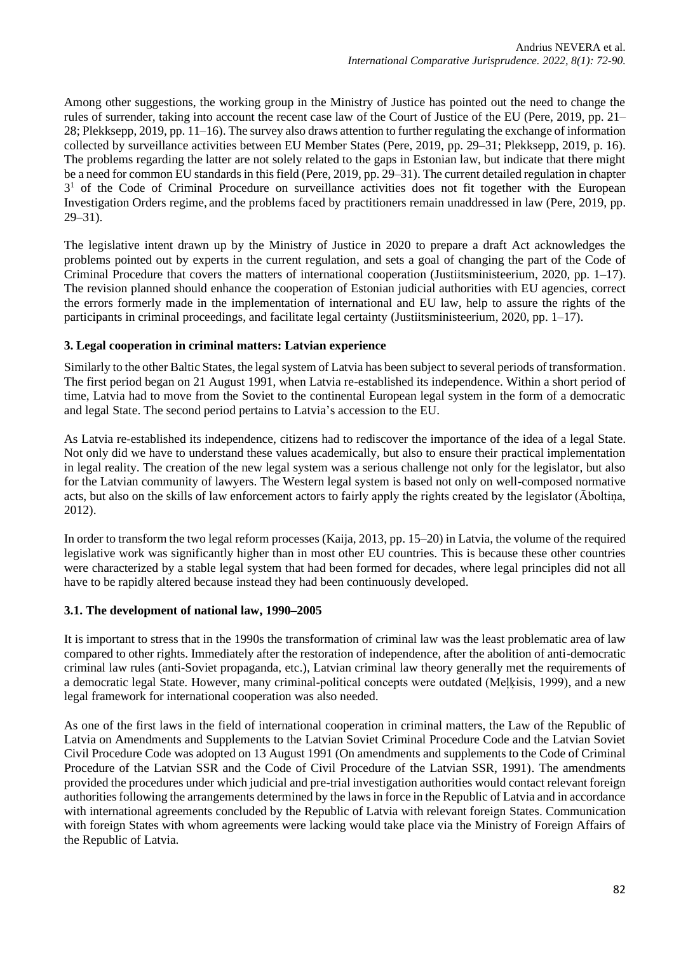Among other suggestions, the working group in the Ministry of Justice has pointed out the need to change the rules of surrender, taking into account the recent case law of the Court of Justice of the EU (Pere, 2019, pp. 21– 28; Plekksepp, 2019, pp. 11–16). The survey also draws attention to further regulating the exchange of information collected by surveillance activities between EU Member States (Pere, 2019, pp. 29–31; Plekksepp, 2019, p. 16). The problems regarding the latter are not solely related to the gaps in Estonian law, but indicate that there might be a need for common EU standards in this field (Pere, 2019, pp. 29–31). The current detailed regulation in chapter 3<sup>1</sup> of the Code of Criminal Procedure on surveillance activities does not fit together with the European Investigation Orders regime, and the problems faced by practitioners remain unaddressed in law (Pere, 2019, pp. 29–31).

The legislative intent drawn up by the Ministry of Justice in 2020 to prepare a draft Act acknowledges the problems pointed out by experts in the current regulation, and sets a goal of changing the part of the Code of Criminal Procedure that covers the matters of international cooperation (Justiitsministeerium, 2020, pp. 1–17). The revision planned should enhance the cooperation of Estonian judicial authorities with EU agencies, correct the errors formerly made in the implementation of international and EU law, help to assure the rights of the participants in criminal proceedings, and facilitate legal certainty (Justiitsministeerium, 2020, pp. 1–17).

### **3. Legal cooperation in criminal matters: Latvian experience**

Similarly to the other Baltic States, the legal system of Latvia has been subject to several periods of transformation. The first period began on 21 August 1991, when Latvia re-established its independence. Within a short period of time, Latvia had to move from the Soviet to the continental European legal system in the form of a democratic and legal State. The second period pertains to Latvia's accession to the EU.

As Latvia re-established its independence, citizens had to rediscover the importance of the idea of a legal State. Not only did we have to understand these values academically, but also to ensure their practical implementation in legal reality. The creation of the new legal system was a serious challenge not only for the legislator, but also for the Latvian community of lawyers. The Western legal system is based not only on well-composed normative acts, but also on the skills of law enforcement actors to fairly apply the rights created by the legislator (Āboltiņa, 2012).

In order to transform the two legal reform processes (Kaija, 2013, pp. 15–20) in Latvia, the volume of the required legislative work was significantly higher than in most other EU countries. This is because these other countries were characterized by a stable legal system that had been formed for decades, where legal principles did not all have to be rapidly altered because instead they had been continuously developed.

#### **3.1. The development of national law, 1990–2005**

It is important to stress that in the 1990s the transformation of criminal law was the least problematic area of law compared to other rights. Immediately after the restoration of independence, after the abolition of anti-democratic criminal law rules (anti-Soviet propaganda, etc.), Latvian criminal law theory generally met the requirements of a democratic legal State. However, many criminal-political concepts were outdated (Meļķisis, 1999), and a new legal framework for international cooperation was also needed.

As one of the first laws in the field of international cooperation in criminal matters, the Law of the Republic of Latvia on Amendments and Supplements to the Latvian Soviet Criminal Procedure Code and the Latvian Soviet Civil Procedure Code was adopted on 13 August 1991 (On amendments and supplements to the Code of Criminal Procedure of the Latvian SSR and the Code of Civil Procedure of the Latvian SSR, 1991). The amendments provided the procedures under which judicial and pre-trial investigation authorities would contact relevant foreign authorities following the arrangements determined by the laws in force in the Republic of Latvia and in accordance with international agreements concluded by the Republic of Latvia with relevant foreign States. Communication with foreign States with whom agreements were lacking would take place via the Ministry of Foreign Affairs of the Republic of Latvia.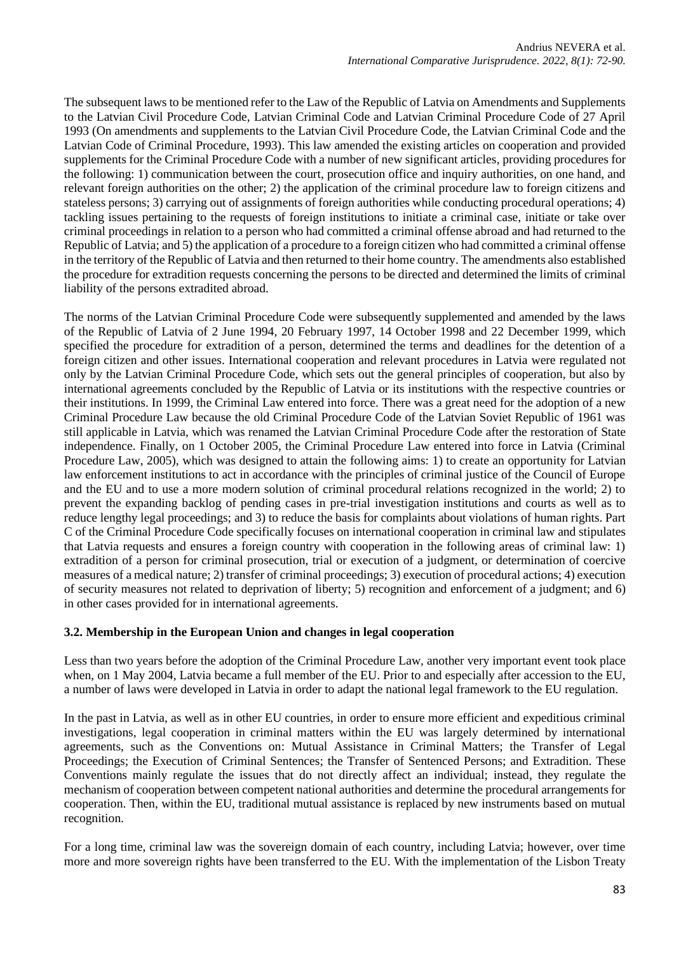The subsequent laws to be mentioned refer to the Law of the Republic of Latvia on Amendments and Supplements to the Latvian Civil Procedure Code, Latvian Criminal Code and Latvian Criminal Procedure Code of 27 April 1993 (On amendments and supplements to the Latvian Civil Procedure Code, the Latvian Criminal Code and the Latvian Code of Criminal Procedure, 1993). This law amended the existing articles on cooperation and provided supplements for the Criminal Procedure Code with a number of new significant articles, providing procedures for the following: 1) communication between the court, prosecution office and inquiry authorities, on one hand, and relevant foreign authorities on the other; 2) the application of the criminal procedure law to foreign citizens and stateless persons; 3) carrying out of assignments of foreign authorities while conducting procedural operations; 4) tackling issues pertaining to the requests of foreign institutions to initiate a criminal case, initiate or take over criminal proceedings in relation to a person who had committed a criminal offense abroad and had returned to the Republic of Latvia; and 5) the application of a procedure to a foreign citizen who had committed a criminal offense in the territory of the Republic of Latvia and then returned to their home country. The amendments also established the procedure for extradition requests concerning the persons to be directed and determined the limits of criminal liability of the persons extradited abroad.

The norms of the Latvian Criminal Procedure Code were subsequently supplemented and amended by the laws of the Republic of Latvia of 2 June 1994, 20 February 1997, 14 October 1998 and 22 December 1999, which specified the procedure for extradition of a person, determined the terms and deadlines for the detention of a foreign citizen and other issues. International cooperation and relevant procedures in Latvia were regulated not only by the Latvian Criminal Procedure Code, which sets out the general principles of cooperation, but also by international agreements concluded by the Republic of Latvia or its institutions with the respective countries or their institutions. In 1999, the Criminal Law entered into force. There was a great need for the adoption of a new Criminal Procedure Law because the old Criminal Procedure Code of the Latvian Soviet Republic of 1961 was still applicable in Latvia, which was renamed the Latvian Criminal Procedure Code after the restoration of State independence. Finally, on 1 October 2005, the Criminal Procedure Law entered into force in Latvia (Criminal Procedure Law, 2005), which was designed to attain the following aims: 1) to create an opportunity for Latvian law enforcement institutions to act in accordance with the principles of criminal justice of the Council of Europe and the EU and to use a more modern solution of criminal procedural relations recognized in the world; 2) to prevent the expanding backlog of pending cases in pre-trial investigation institutions and courts as well as to reduce lengthy legal proceedings; and 3) to reduce the basis for complaints about violations of human rights. Part C of the Criminal Procedure Code specifically focuses on international cooperation in criminal law and stipulates that Latvia requests and ensures a foreign country with cooperation in the following areas of criminal law: 1) extradition of a person for criminal prosecution, trial or execution of a judgment, or determination of coercive measures of a medical nature; 2) transfer of criminal proceedings; 3) execution of procedural actions; 4) execution of security measures not related to deprivation of liberty; 5) recognition and enforcement of a judgment; and 6) in other cases provided for in international agreements.

# **3.2. Membership in the European Union and changes in legal cooperation**

Less than two years before the adoption of the Criminal Procedure Law, another very important event took place when, on 1 May 2004, Latvia became a full member of the EU. Prior to and especially after accession to the EU, a number of laws were developed in Latvia in order to adapt the national legal framework to the EU regulation.

In the past in Latvia, as well as in other EU countries, in order to ensure more efficient and expeditious criminal investigations, legal cooperation in criminal matters within the EU was largely determined by international agreements, such as the Conventions on: Mutual Assistance in Criminal Matters; the Transfer of Legal Proceedings; the Execution of Criminal Sentences; the Transfer of Sentenced Persons; and Extradition. These Conventions mainly regulate the issues that do not directly affect an individual; instead, they regulate the mechanism of cooperation between competent national authorities and determine the procedural arrangements for cooperation. Then, within the EU, traditional mutual assistance is replaced by new instruments based on mutual recognition.

For a long time, criminal law was the sovereign domain of each country, including Latvia; however, over time more and more sovereign rights have been transferred to the EU. With the implementation of the Lisbon Treaty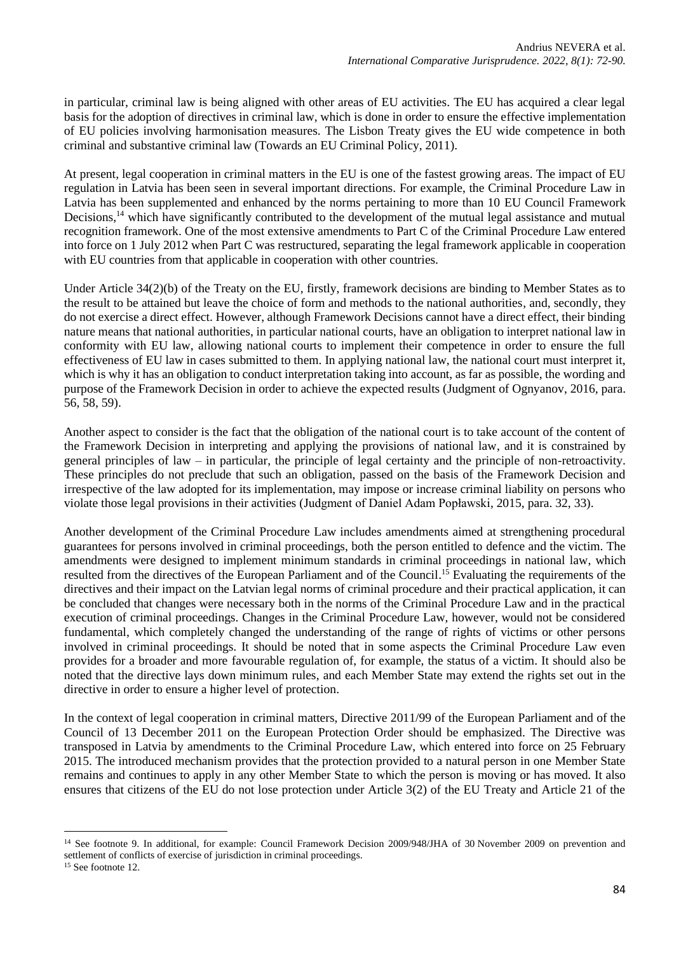in particular, criminal law is being aligned with other areas of EU activities. The EU has acquired a clear legal basis for the adoption of directives in criminal law, which is done in order to ensure the effective implementation of EU policies involving harmonisation measures. The Lisbon Treaty gives the EU wide competence in both criminal and substantive criminal law (Towards an EU Criminal Policy, 2011).

At present, legal cooperation in criminal matters in the EU is one of the fastest growing areas. The impact of EU regulation in Latvia has been seen in several important directions. For example, the Criminal Procedure Law in Latvia has been supplemented and enhanced by the norms pertaining to more than 10 EU Council Framework Decisions,<sup>14</sup> which have significantly contributed to the development of the mutual legal assistance and mutual recognition framework. One of the most extensive amendments to Part C of the Criminal Procedure Law entered into force on 1 July 2012 when Part C was restructured, separating the legal framework applicable in cooperation with EU countries from that applicable in cooperation with other countries.

Under Article 34(2)(b) of the Treaty on the EU, firstly, framework decisions are binding to Member States as to the result to be attained but leave the choice of form and methods to the national authorities, and, secondly, they do not exercise a direct effect. However, although Framework Decisions cannot have a direct effect, their binding nature means that national authorities, in particular national courts, have an obligation to interpret national law in conformity with EU law, allowing national courts to implement their competence in order to ensure the full effectiveness of EU law in cases submitted to them. In applying national law, the national court must interpret it, which is why it has an obligation to conduct interpretation taking into account, as far as possible, the wording and purpose of the Framework Decision in order to achieve the expected results (Judgment of Ognyanov, 2016, para. 56, 58, 59).

Another aspect to consider is the fact that the obligation of the national court is to take account of the content of the Framework Decision in interpreting and applying the provisions of national law, and it is constrained by general principles of law – in particular, the principle of legal certainty and the principle of non-retroactivity. These principles do not preclude that such an obligation, passed on the basis of the Framework Decision and irrespective of the law adopted for its implementation, may impose or increase criminal liability on persons who violate those legal provisions in their activities (Judgment of Daniel Adam Popławski, 2015, para. 32, 33).

Another development of the Criminal Procedure Law includes amendments aimed at strengthening procedural guarantees for persons involved in criminal proceedings, both the person entitled to defence and the victim. The amendments were designed to implement minimum standards in criminal proceedings in national law, which resulted from the directives of the European Parliament and of the Council.<sup>15</sup> Evaluating the requirements of the directives and their impact on the Latvian legal norms of criminal procedure and their practical application, it can be concluded that changes were necessary both in the norms of the Criminal Procedure Law and in the practical execution of criminal proceedings. Changes in the Criminal Procedure Law, however, would not be considered fundamental, which completely changed the understanding of the range of rights of victims or other persons involved in criminal proceedings. It should be noted that in some aspects the Criminal Procedure Law even provides for a broader and more favourable regulation of, for example, the status of a victim. It should also be noted that the directive lays down minimum rules, and each Member State may extend the rights set out in the directive in order to ensure a higher level of protection.

In the context of legal cooperation in criminal matters, Directive 2011/99 of the European Parliament and of the Council of 13 December 2011 on the European Protection Order should be emphasized. The Directive was transposed in Latvia by amendments to the Criminal Procedure Law, which entered into force on 25 February 2015. The introduced mechanism provides that the protection provided to a natural person in one Member State remains and continues to apply in any other Member State to which the person is moving or has moved. It also ensures that citizens of the EU do not lose protection under Article 3(2) of the EU Treaty and Article 21 of the

<sup>&</sup>lt;sup>14</sup> See footnote 9. In additional, for example: Council Framework Decision 2009/948/JHA of 30 November 2009 on prevention and settlement of conflicts of exercise of jurisdiction in criminal proceedings.

<sup>&</sup>lt;sup>15</sup> See footnote 12.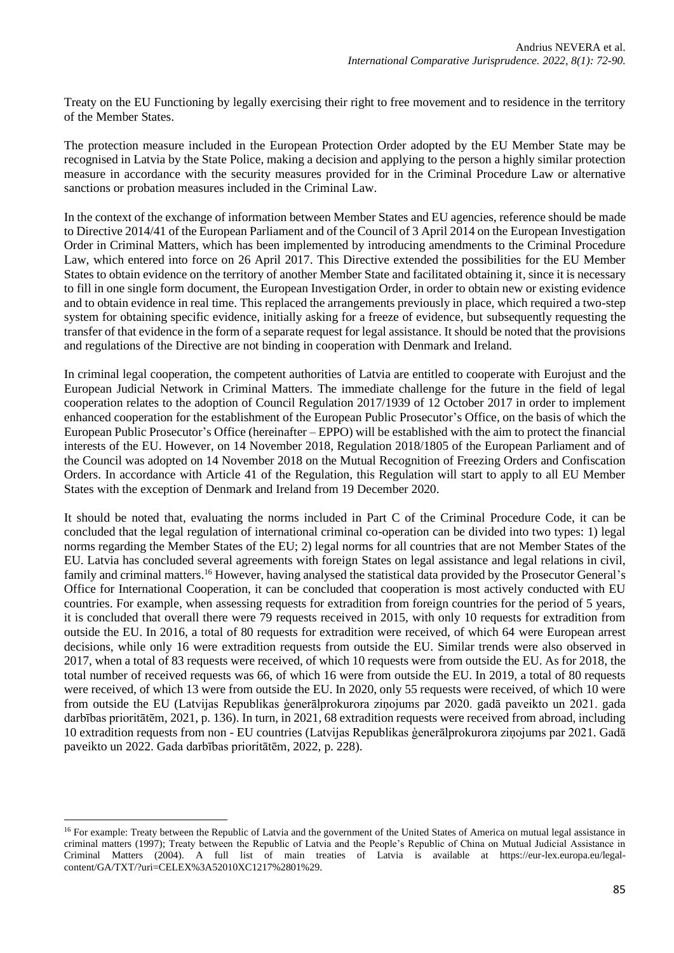Treaty on the EU Functioning by legally exercising their right to free movement and to residence in the territory of the Member States.

The protection measure included in the European Protection Order adopted by the EU Member State may be recognised in Latvia by the State Police, making a decision and applying to the person a highly similar protection measure in accordance with the security measures provided for in the Criminal Procedure Law or alternative sanctions or probation measures included in the Criminal Law.

In the context of the exchange of information between Member States and EU agencies, reference should be made to Directive 2014/41 of the European Parliament and of the Council of 3 April 2014 on the European Investigation Order in Criminal Matters, which has been implemented by introducing amendments to the Criminal Procedure Law, which entered into force on 26 April 2017. This Directive extended the possibilities for the EU Member States to obtain evidence on the territory of another Member State and facilitated obtaining it, since it is necessary to fill in one single form document, the European Investigation Order, in order to obtain new or existing evidence and to obtain evidence in real time. This replaced the arrangements previously in place, which required a two-step system for obtaining specific evidence, initially asking for a freeze of evidence, but subsequently requesting the transfer of that evidence in the form of a separate request for legal assistance. It should be noted that the provisions and regulations of the Directive are not binding in cooperation with Denmark and Ireland.

In criminal legal cooperation, the competent authorities of Latvia are entitled to cooperate with Eurojust and the European Judicial Network in Criminal Matters. The immediate challenge for the future in the field of legal cooperation relates to the adoption of Council Regulation 2017/1939 of 12 October 2017 in order to implement enhanced cooperation for the establishment of the European Public Prosecutor's Office, on the basis of which the European Public Prosecutor's Office (hereinafter – EPPO) will be established with the aim to protect the financial interests of the EU. However, on 14 November 2018, Regulation 2018/1805 of the European Parliament and of the Council was adopted on 14 November 2018 on the Mutual Recognition of Freezing Orders and Confiscation Orders. In accordance with Article 41 of the Regulation, this Regulation will start to apply to all EU Member States with the exception of Denmark and Ireland from 19 December 2020.

It should be noted that, evaluating the norms included in Part C of the Criminal Procedure Code, it can be concluded that the legal regulation of international criminal co-operation can be divided into two types: 1) legal norms regarding the Member States of the EU; 2) legal norms for all countries that are not Member States of the EU. Latvia has concluded several agreements with foreign States on legal assistance and legal relations in civil, family and criminal matters.<sup>16</sup> However, having analysed the statistical data provided by the Prosecutor General's Office for International Cooperation, it can be concluded that cooperation is most actively conducted with EU countries. For example, when assessing requests for extradition from foreign countries for the period of 5 years, it is concluded that overall there were 79 requests received in 2015, with only 10 requests for extradition from outside the EU. In 2016, a total of 80 requests for extradition were received, of which 64 were European arrest decisions, while only 16 were extradition requests from outside the EU. Similar trends were also observed in 2017, when a total of 83 requests were received, of which 10 requests were from outside the EU. As for 2018, the total number of received requests was 66, of which 16 were from outside the EU. In 2019, a total of 80 requests were received, of which 13 were from outside the EU. In 2020, only 55 requests were received, of which 10 were from outside the EU (Latvijas Republikas ģenerālprokurora ziņojums par 2020. gadā paveikto un 2021. gada darbības prioritātēm, 2021, p. 136). In turn, in 2021, 68 extradition requests were received from abroad, including 10 extradition requests from non - EU countries (Latvijas Republikas ģenerālprokurora ziņojums par 2021. Gadā paveikto un 2022. Gada darbības prioritātēm, 2022, p. 228).

<sup>&</sup>lt;sup>16</sup> For example: Treaty between the Republic of Latvia and the government of the United States of America on mutual legal assistance in criminal matters (1997); Treaty between the Republic of Latvia and the People's Republic of China on Mutual Judicial Assistance in Criminal Matters (2004). A full list of main treaties of Latvia is available at https://eur-lex.europa.eu/legalcontent/GA/TXT/?uri=CELEX%3A52010XC1217%2801%29.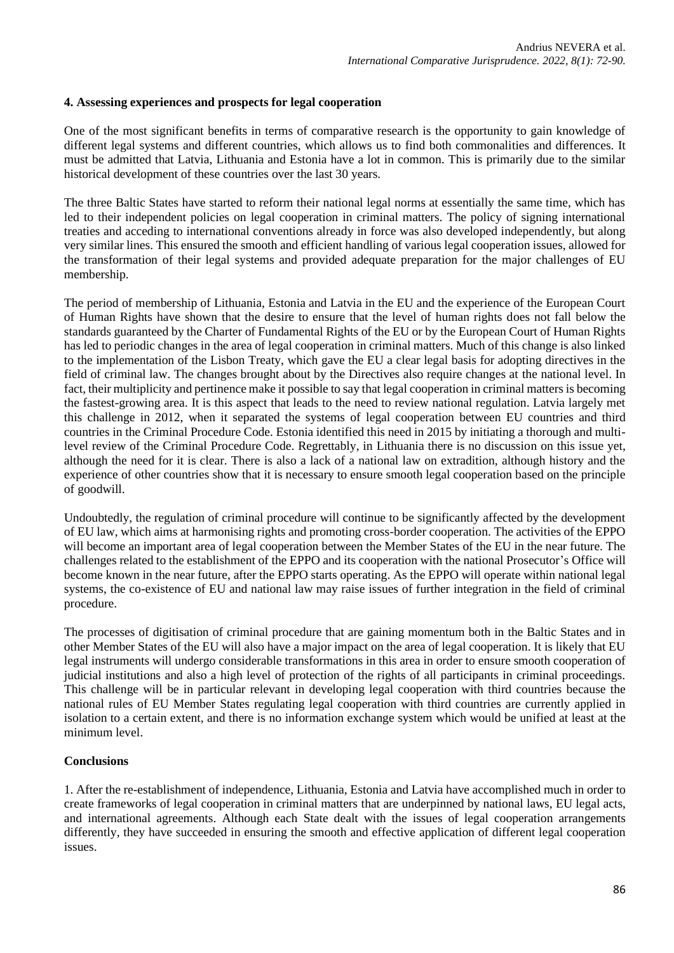### **4. Assessing experiences and prospects for legal cooperation**

One of the most significant benefits in terms of comparative research is the opportunity to gain knowledge of different legal systems and different countries, which allows us to find both commonalities and differences. It must be admitted that Latvia, Lithuania and Estonia have a lot in common. This is primarily due to the similar historical development of these countries over the last 30 years.

The three Baltic States have started to reform their national legal norms at essentially the same time, which has led to their independent policies on legal cooperation in criminal matters. The policy of signing international treaties and acceding to international conventions already in force was also developed independently, but along very similar lines. This ensured the smooth and efficient handling of various legal cooperation issues, allowed for the transformation of their legal systems and provided adequate preparation for the major challenges of EU membership.

The period of membership of Lithuania, Estonia and Latvia in the EU and the experience of the European Court of Human Rights have shown that the desire to ensure that the level of human rights does not fall below the standards guaranteed by the Charter of Fundamental Rights of the EU or by the European Court of Human Rights has led to periodic changes in the area of legal cooperation in criminal matters. Much of this change is also linked to the implementation of the Lisbon Treaty, which gave the EU a clear legal basis for adopting directives in the field of criminal law. The changes brought about by the Directives also require changes at the national level. In fact, their multiplicity and pertinence make it possible to say that legal cooperation in criminal matters is becoming the fastest-growing area. It is this aspect that leads to the need to review national regulation. Latvia largely met this challenge in 2012, when it separated the systems of legal cooperation between EU countries and third countries in the Criminal Procedure Code. Estonia identified this need in 2015 by initiating a thorough and multilevel review of the Criminal Procedure Code. Regrettably, in Lithuania there is no discussion on this issue yet, although the need for it is clear. There is also a lack of a national law on extradition, although history and the experience of other countries show that it is necessary to ensure smooth legal cooperation based on the principle of goodwill.

Undoubtedly, the regulation of criminal procedure will continue to be significantly affected by the development of EU law, which aims at harmonising rights and promoting cross-border cooperation. The activities of the EPPO will become an important area of legal cooperation between the Member States of the EU in the near future. The challenges related to the establishment of the EPPO and its cooperation with the national Prosecutor's Office will become known in the near future, after the EPPO starts operating. As the EPPO will operate within national legal systems, the co-existence of EU and national law may raise issues of further integration in the field of criminal procedure.

The processes of digitisation of criminal procedure that are gaining momentum both in the Baltic States and in other Member States of the EU will also have a major impact on the area of legal cooperation. It is likely that EU legal instruments will undergo considerable transformations in this area in order to ensure smooth cooperation of judicial institutions and also a high level of protection of the rights of all participants in criminal proceedings. This challenge will be in particular relevant in developing legal cooperation with third countries because the national rules of EU Member States regulating legal cooperation with third countries are currently applied in isolation to a certain extent, and there is no information exchange system which would be unified at least at the minimum level.

#### **Conclusions**

1. After the re-establishment of independence, Lithuania, Estonia and Latvia have accomplished much in order to create frameworks of legal cooperation in criminal matters that are underpinned by national laws, EU legal acts, and international agreements. Although each State dealt with the issues of legal cooperation arrangements differently, they have succeeded in ensuring the smooth and effective application of different legal cooperation issues.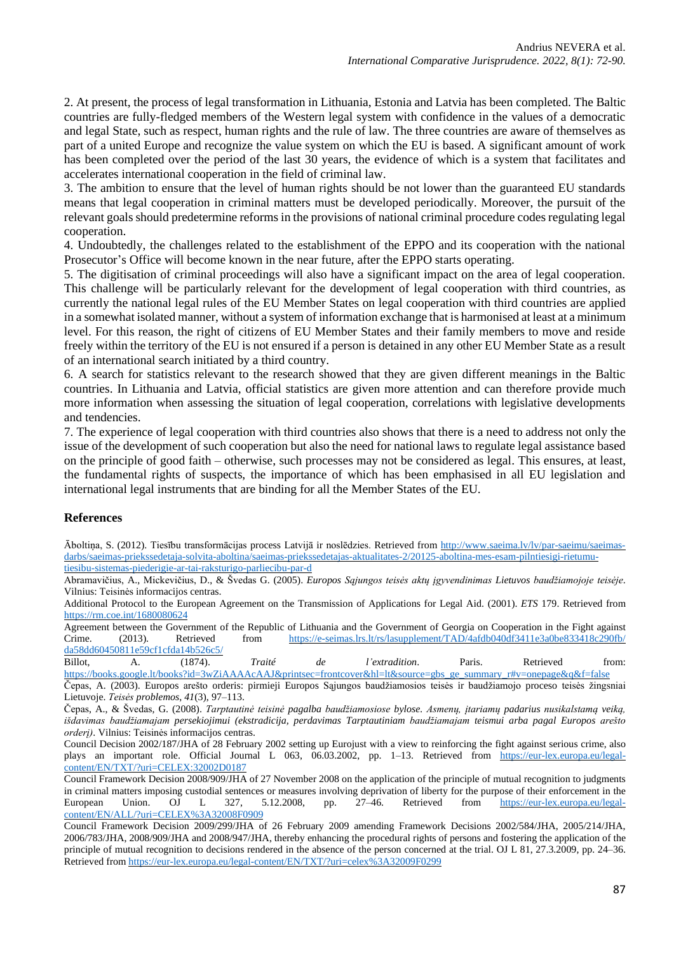2. At present, the process of legal transformation in Lithuania, Estonia and Latvia has been completed. The Baltic countries are fully-fledged members of the Western legal system with confidence in the values of a democratic and legal State, such as respect, human rights and the rule of law. The three countries are aware of themselves as part of a united Europe and recognize the value system on which the EU is based. A significant amount of work has been completed over the period of the last 30 years, the evidence of which is a system that facilitates and accelerates international cooperation in the field of criminal law.

3. The ambition to ensure that the level of human rights should be not lower than the guaranteed EU standards means that legal cooperation in criminal matters must be developed periodically. Moreover, the pursuit of the relevant goals should predetermine reforms in the provisions of national criminal procedure codes regulating legal cooperation.

4. Undoubtedly, the challenges related to the establishment of the EPPO and its cooperation with the national Prosecutor's Office will become known in the near future, after the EPPO starts operating.

5. The digitisation of criminal proceedings will also have a significant impact on the area of legal cooperation. This challenge will be particularly relevant for the development of legal cooperation with third countries, as currently the national legal rules of the EU Member States on legal cooperation with third countries are applied in a somewhat isolated manner, without a system of information exchange that is harmonised at least at a minimum level. For this reason, the right of citizens of EU Member States and their family members to move and reside freely within the territory of the EU is not ensured if a person is detained in any other EU Member State as a result of an international search initiated by a third country.

6. A search for statistics relevant to the research showed that they are given different meanings in the Baltic countries. In Lithuania and Latvia, official statistics are given more attention and can therefore provide much more information when assessing the situation of legal cooperation, correlations with legislative developments and tendencies.

7. The experience of legal cooperation with third countries also shows that there is a need to address not only the issue of the development of such cooperation but also the need for national laws to regulate legal assistance based on the principle of good faith – otherwise, such processes may not be considered as legal. This ensures, at least, the fundamental rights of suspects, the importance of which has been emphasised in all EU legislation and international legal instruments that are binding for all the Member States of the EU.

#### **References**

Āboltiņa, S. (2012). Tiesību transformācijas process Latvijā ir noslēdzies. Retrieved from [http://www.saeima.lv/lv/par-saeimu/saeimas](http://www.saeima.lv/lv/par-saeimu/saeimas-darbs/saeimas-priekssedetaja-solvita-aboltina/saeimas-priekssedetajas-aktualitates-2/20125-aboltina-mes-esam-pilntiesigi-rietumu-tiesibu-sistemas-piederigie-ar-tai-raksturigo-parliecibu-par-d)[darbs/saeimas-priekssedetaja-solvita-aboltina/saeimas-priekssedetajas-aktualitates-2/20125-aboltina-mes-esam-pilntiesigi-rietumu](http://www.saeima.lv/lv/par-saeimu/saeimas-darbs/saeimas-priekssedetaja-solvita-aboltina/saeimas-priekssedetajas-aktualitates-2/20125-aboltina-mes-esam-pilntiesigi-rietumu-tiesibu-sistemas-piederigie-ar-tai-raksturigo-parliecibu-par-d)[tiesibu-sistemas-piederigie-ar-tai-raksturigo-parliecibu-par-d](http://www.saeima.lv/lv/par-saeimu/saeimas-darbs/saeimas-priekssedetaja-solvita-aboltina/saeimas-priekssedetajas-aktualitates-2/20125-aboltina-mes-esam-pilntiesigi-rietumu-tiesibu-sistemas-piederigie-ar-tai-raksturigo-parliecibu-par-d)

Abramavičius, A., Mickevičius, D., & Švedas G. (2005). *Europos Sąjungos teisės aktų įgyvendinimas Lietuvos baudžiamojoje teisėje*. Vilnius: Teisinės informacijos centras.

Additional Protocol to the European Agreement on the Transmission of Applications for Legal Aid. (2001). *ETS* 179. Retrieved from <https://rm.coe.int/1680080624>

Agreement between the Government of the Republic of Lithuania and the Government of Georgia on Cooperation in the Fight against Crime. (2013). Retrieved from [https://e-seimas.lrs.lt/rs/lasupplement/TAD/4afdb040df3411e3a0be833418c290fb/](https://e-seimas.lrs.lt/rs/lasupplement/TAD/4afdb040df3411e3a0be833418c290fb/da58dd60450811e59cf1cfda14b526c5/) [da58dd60450811e59cf1cfda14b526c5/](https://e-seimas.lrs.lt/rs/lasupplement/TAD/4afdb040df3411e3a0be833418c290fb/da58dd60450811e59cf1cfda14b526c5/)<br>Billot, A. (1874).

Billot, A. (1874). *Traité de l'extradition*. Paris. Retrieved from: [https://books.google.lt/books?id=3wZiAAAAcAAJ&printsec=frontcover&hl=lt&source=gbs\\_ge\\_summary\\_r#v=onepage&q&f=false](https://books.google.lt/books?id=3wZiAAAAcAAJ&printsec=frontcover&hl=lt&source=gbs_ge_summary_r#v=onepage&q&f=false)

Čepas, A. (2003). Europos arešto orderis: pirmieji Europos Sąjungos baudžiamosios teisės ir baudžiamojo proceso teisės žingsniai Lietuvoje. *Teisės problemos*, *41*(3), 97–113.

Čepas, A., & Švedas, G. (2008). *Tarptautinė teisinė pagalba baudžiamosiose bylose. Asmenų, įtariamų padarius nusikalstamą veiką, išdavimas baudžiamajam persekiojimui (ekstradicija, perdavimas Tarptautiniam baudžiamajam teismui arba pagal Europos arešto orderį)*. Vilnius: Teisinės informacijos centras.

Council Decision 2002/187/JHA of 28 February 2002 setting up Eurojust with a view to reinforcing the fight against serious crime, also plays an important role. Official Journal L 063, 06.03.2002, pp. 1–13. Retrieved from [https://eur-lex.europa.eu/legal](https://eur-lex.europa.eu/legal-content/EN/TXT/?uri=CELEX:32002D0187)[content/EN/TXT/?uri=CELEX:32002D0187](https://eur-lex.europa.eu/legal-content/EN/TXT/?uri=CELEX:32002D0187)

Council Framework Decision 2008/909/JHA of 27 November 2008 on the application of the principle of mutual recognition to judgments in criminal matters imposing custodial sentences or measures involving deprivation of liberty for the purpose of their enforcement in the European Union. OJ L 327, 5.12.2008, pp. 27–46. Retrieved from [https://eur-lex.europa.eu/legal](https://eur-lex.europa.eu/legal-content/EN/ALL/?uri=CELEX%3A32008F0909)[content/EN/ALL/?uri=CELEX%3A32008F0909](https://eur-lex.europa.eu/legal-content/EN/ALL/?uri=CELEX%3A32008F0909)

Council Framework Decision 2009/299/JHA of 26 February 2009 amending Framework Decisions 2002/584/JHA, 2005/214/JHA, 2006/783/JHA, 2008/909/JHA and 2008/947/JHA, thereby enhancing the procedural rights of persons and fostering the application of the principle of mutual recognition to decisions rendered in the absence of the person concerned at the trial. OJ L 81, 27.3.2009, pp. 24–36. Retrieved from <https://eur-lex.europa.eu/legal-content/EN/TXT/?uri=celex%3A32009F0299>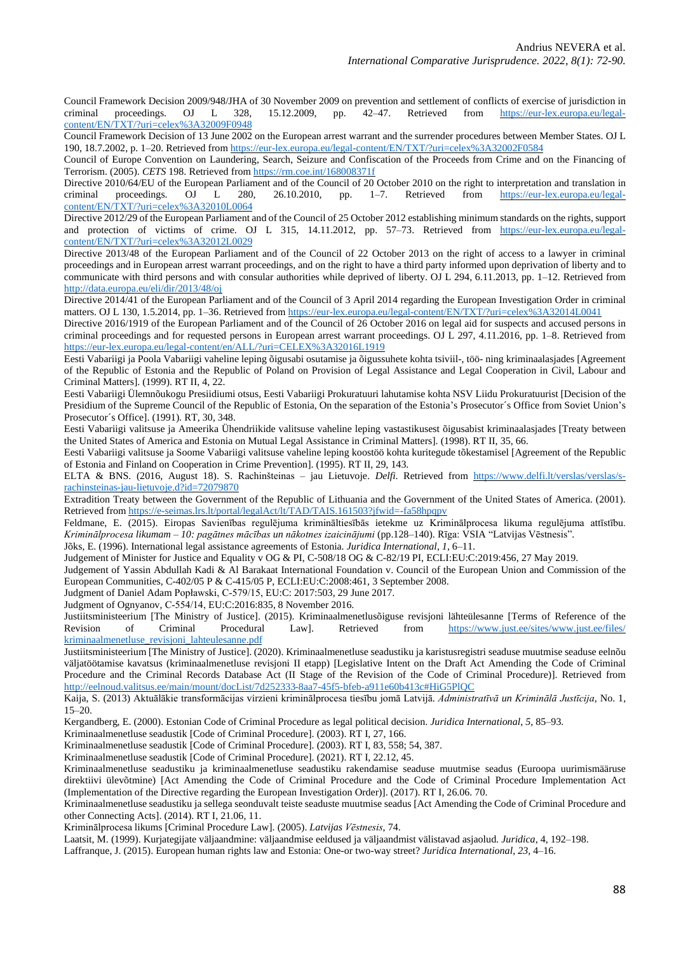Council Framework Decision 2009/948/JHA of 30 November 2009 on prevention and settlement of conflicts of exercise of jurisdiction in criminal proceedings. OJ L 328, 15.12.2009, pp. 42–47. Retrieved from [https://eur-lex.europa.eu/legal](https://eur-lex.europa.eu/legal-content/EN/TXT/?uri=celex%3A32009F0948)[content/EN/TXT/?uri=celex%3A32009F0948](https://eur-lex.europa.eu/legal-content/EN/TXT/?uri=celex%3A32009F0948)

Council Framework Decision of 13 June 2002 on the European arrest warrant and the surrender procedures between Member States. OJ L 190, 18.7.2002, p. 1–20. Retrieved from <https://eur-lex.europa.eu/legal-content/EN/TXT/?uri=celex%3A32002F0584>

Council of Europe Convention on Laundering, Search, Seizure and Confiscation of the Proceeds from Crime and on the Financing of Terrorism. (2005). *CETS* 198. Retrieved from <https://rm.coe.int/168008371f>

Directive 2010/64/EU of the European Parliament and of the Council of 20 October 2010 on the right to interpretation and translation in criminal proceedings. OJ L 280, 26.10.2010, pp. 1–7. Retrieved from https://eur-lex.eu 26.10.2010, pp. 1–7. Retrieved from [https://eur-lex.europa.eu/legal](https://eur-lex.europa.eu/legal-content/EN/TXT/?uri=celex%3A32010L0064)[content/EN/TXT/?uri=celex%3A32010L0064](https://eur-lex.europa.eu/legal-content/EN/TXT/?uri=celex%3A32010L0064)

Directive 2012/29 of the European Parliament and of the Council of 25 October 2012 establishing minimum standards on the rights, support and protection of victims of crime. OJ L 315, 14.11.2012, pp. 57-73. Retrieved from [https://eur-lex.europa.eu/legal](https://eur-lex.europa.eu/legal-content/EN/TXT/?uri=celex%3A32012L0029)[content/EN/TXT/?uri=celex%3A32012L0029](https://eur-lex.europa.eu/legal-content/EN/TXT/?uri=celex%3A32012L0029)

Directive 2013/48 of the European Parliament and of the Council of 22 October 2013 on the right of access to a lawyer in criminal proceedings and in European arrest warrant proceedings, and on the right to have a third party informed upon deprivation of liberty and to communicate with third persons and with consular authorities while deprived of liberty. OJ L 294, 6.11.2013, pp. 1–12. Retrieved from <http://data.europa.eu/eli/dir/2013/48/oj>

Directive 2014/41 of the European Parliament and of the Council of 3 April 2014 regarding the European Investigation Order in criminal matters. OJ L 130, 1.5.2014, pp. 1–36. Retrieved from <https://eur-lex.europa.eu/legal-content/EN/TXT/?uri=celex%3A32014L0041>

Directive 2016/1919 of the European Parliament and of the Council of 26 October 2016 on legal aid for suspects and accused persons in criminal proceedings and for requested persons in European arrest warrant proceedings. OJ L 297, 4.11.2016, pp. 1–8. Retrieved from <https://eur-lex.europa.eu/legal-content/en/ALL/?uri=CELEX%3A32016L1919>

Eesti Vabariigi ja Poola Vabariigi vaheline leping õigusabi osutamise ja õigussuhete kohta tsiviil-, töö- ning kriminaalasjades [Agreement of the Republic of Estonia and the Republic of Poland on Provision of Legal Assistance and Legal Cooperation in Civil, Labour and Criminal Matters]. (1999). RT II, 4, 22.

Eesti Vabariigi Ülemnõukogu Presiidiumi otsus, Eesti Vabariigi Prokuratuuri lahutamise kohta NSV Liidu Prokuratuurist [Decision of the Presidium of the Supreme Council of the Republic of Estonia, On the separation of the Estonia's Prosecutor's Office from Soviet Union's Prosecutor´s Office]. (1991). RT, 30, 348.

Eesti Vabariigi valitsuse ja Ameerika Ühendriikide valitsuse vaheline leping vastastikusest õigusabist kriminaalasjades [Treaty between the United States of America and Estonia on Mutual Legal Assistance in Criminal Matters]. (1998). RT II, 35, 66.

Eesti Vabariigi valitsuse ja Soome Vabariigi valitsuse vaheline leping koostöö kohta kuritegude tõkestamisel [Agreement of the Republic of Estonia and Finland on Cooperation in Crime Prevention]. (1995). RT II, 29, 143.

ELTA & BNS. (2016, August 18). S. Rachinšteinas – jau Lietuvoje. *Delfi*. Retrieved from [https://www.delfi.lt/verslas/verslas/s](https://www.delfi.lt/verslas/verslas/s-rachinsteinas-jau-lietuvoje.d?id=72079870)[rachinsteinas-jau-lietuvoje.d?id=72079870](https://www.delfi.lt/verslas/verslas/s-rachinsteinas-jau-lietuvoje.d?id=72079870)

Extradition Treaty between the Government of the Republic of Lithuania and the Government of the United States of America. (2001). Retrieved from <https://e-seimas.lrs.lt/portal/legalAct/lt/TAD/TAIS.161503?jfwid=-fa58hpqpv>

Feldmane, E. (2015). Eiropas Savienības regulējuma krimināltiesībās ietekme uz Kriminālprocesa likuma regulējuma attīstību. *Kriminālprocesa likumam – 10: pagātnes mācības un nākotnes izaicinājumi* (pp.128–140). Rīga: VSIA "Latvijas Vēstnesis".

Jõks, E. (1996). International legal assistance agreements of Estonia. *Juridica International*, *1*, 6–11.

Judgement of Minister for Justice and Equality v OG & PI, C-508/18 OG & C-82/19 PI, ECLI:EU:C:2019:456, 27 May 2019.

Judgement of Yassin Abdullah Kadi & Al Barakaat International Foundation v. Council of the European Union and Commission of the European Communities, C-402/05 P & C-415/05 P, ECLI:EU:C:2008:461, 3 September 2008.

Judgment of Daniel Adam Popławski, C‑579/15, EU:C: 2017:503, 29 June 2017.

Judgment of Ognyanov, C‑554/14, EU:C:2016:835, 8 November 2016.

Justiitsministeerium [The Ministry of Justice]. (2015). Kriminaalmenetlusõiguse revisjoni lähteülesanne [Terms of Reference of the Revision of Criminal Procedural Law]. Retrieved from [https://www.just.ee/sites/www.just.ee/files/](https://www.just.ee/sites/www.just.ee/files/kriminaalmenetluse_revisjoni_lahteulesanne.pdf) [kriminaalmenetluse\\_revisjoni\\_lahteulesanne.pdf](https://www.just.ee/sites/www.just.ee/files/kriminaalmenetluse_revisjoni_lahteulesanne.pdf)

Justiitsministeerium [The Ministry of Justice]. (2020). Kriminaalmenetluse seadustiku ja karistusregistri seaduse muutmise seaduse eelnõu väljatöötamise kavatsus (kriminaalmenetluse revisjoni II etapp) [Legislative Intent on the Draft Act Amending the Code of Criminal Procedure and the Criminal Records Database Act (II Stage of the Revision of the Code of Criminal Procedure)]. Retrieved from <http://eelnoud.valitsus.ee/main/mount/docList/7d252333-8aa7-45f5-bfeb-a911e60b413c#HiG5PlQC>

Kaija, S. (2013) Aktuālākie transformācijas virzieni kriminālprocesa tiesību jomā Latvijā. *Administratīvā un Kriminālā Justīcija*, No. 1, 15–20.

Kergandberg, E. (2000). Estonian Code of Criminal Procedure as legal political decision. *Juridica International*, *5*, 85–93.

Kriminaalmenetluse seadustik [Code of Criminal Procedure]. (2003). RT I, 27, 166.

Kriminaalmenetluse seadustik [Code of Criminal Procedure]. (2003). RT I, 83, 558; 54, 387.

Kriminaalmenetluse seadustik [Code of Criminal Procedure]. (2021). RT I, 22.12, 45.

Kriminaalmenetluse seadustiku ja kriminaalmenetluse seadustiku rakendamise seaduse muutmise seadus (Euroopa uurimismääruse direktiivi ülevõtmine) [Act Amending the Code of Criminal Procedure and the Code of Criminal Procedure Implementation Act (Implementation of the Directive regarding the European Investigation Order)]. (2017). RT I, 26.06. 70.

Kriminaalmenetluse seadustiku ja sellega seonduvalt teiste seaduste muutmise seadus [Act Amending the Code of Criminal Procedure and other Connecting Acts]. (2014). RT I, 21.06, 11.

Kriminālprocesa likums [Criminal Procedure Law]. (2005). *Latvijas Vēstnesis*, 74.

Laatsit, M. (1999). Kurjategijate väljaandmine: väljaandmise eeldused ja väljaandmist välistavad asjaolud. *Juridica*, 4, 192–198. Laffranque, J. (2015). European human rights law and Estonia: One-or two-way street? *Juridica International*, *23*, 4–16.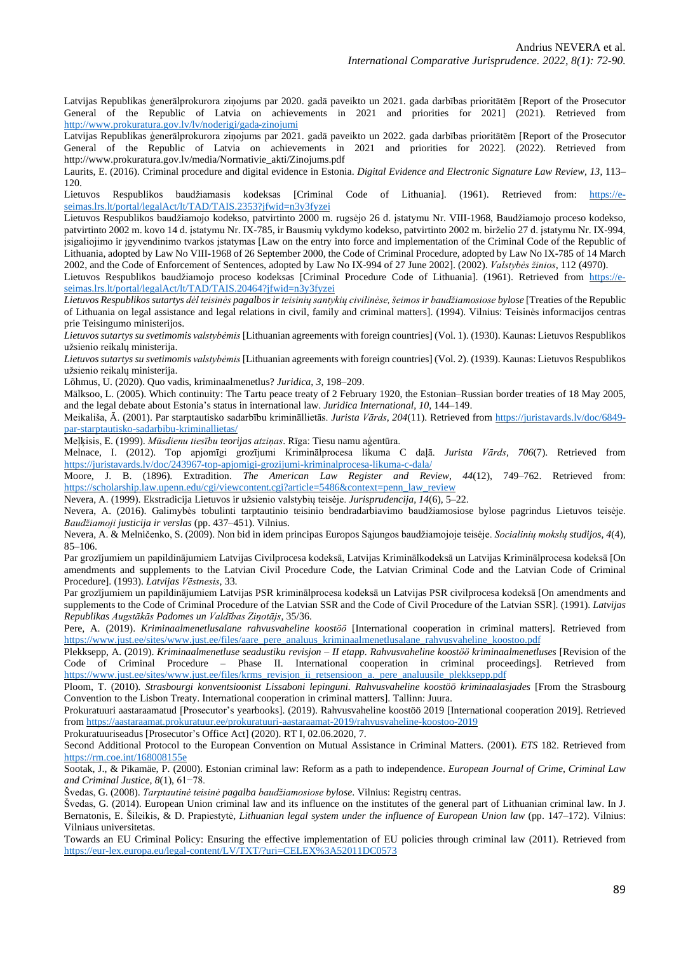Latvijas Republikas ģenerālprokurora ziņojums par 2020. gadā paveikto un 2021. gada darbības prioritātēm [Report of the Prosecutor General of the Republic of Latvia on achievements in 2021 and priorities for 2021] (2021). Retrieved from <http://www.prokuratura.gov.lv/lv/noderigi/gada-zinojumi>

Latvijas Republikas ģenerālprokurora ziņojums par 2021. gadā paveikto un 2022. gada darbības prioritātēm [Report of the Prosecutor General of the Republic of Latvia on achievements in 2021 and priorities for 2022]. (2022). Retrieved from http://www.prokuratura.gov.lv/media/Normativie\_akti/Zinojums.pdf

Laurits, E. (2016). Criminal procedure and digital evidence in Estonia. *Digital Evidence and Electronic Signature Law Review*, *13*, 113– 120.

Lietuvos Respublikos baudžiamasis kodeksas [Criminal Code of Lithuania]. (1961). Retrieved from: [https://e](https://e-seimas.lrs.lt/portal/legalAct/lt/TAD/TAIS.2353?jfwid=n3y3fyzei)[seimas.lrs.lt/portal/legalAct/lt/TAD/TAIS.2353?jfwid=n3y3fyzei](https://e-seimas.lrs.lt/portal/legalAct/lt/TAD/TAIS.2353?jfwid=n3y3fyzei)

Lietuvos Respublikos baudžiamojo kodekso, patvirtinto 2000 m. rugsėjo 26 d. įstatymu Nr. VIII-1968, Baudžiamojo proceso kodekso, patvirtinto 2002 m. kovo 14 d. įstatymu Nr. IX-785, ir Bausmių vykdymo kodekso, patvirtinto 2002 m. birželio 27 d. įstatymu Nr. IX-994, įsigaliojimo ir įgyvendinimo tvarkos įstatymas [Law on the entry into force and implementation of the Criminal Code of the Republic of Lithuania, adopted by Law No VIII-1968 of 26 September 2000, the Code of Criminal Procedure, adopted by Law No IX-785 of 14 March 2002, and the Code of Enforcement of Sentences, adopted by Law No IX-994 of 27 June 2002]. (2002). *Valstybės žinios*, 112 (4970).

Lietuvos Respublikos baudžiamojo proceso kodeksas [Criminal Procedure Code of Lithuania]. (1961). Retrieved from [https://e](https://e-seimas.lrs.lt/portal/legalAct/lt/TAD/TAIS.20464?jfwid=n3y3fyzei)[seimas.lrs.lt/portal/legalAct/lt/TAD/TAIS.20464?jfwid=n3y3fyzei](https://e-seimas.lrs.lt/portal/legalAct/lt/TAD/TAIS.20464?jfwid=n3y3fyzei)

*Lietuvos Respublikos sutartys dėl teisinės pagalbosir teisinių santykių civilinėse,šeimos ir baudžiamosiose bylose* [Treaties of the Republic of Lithuania on legal assistance and legal relations in civil, family and criminal matters]. (1994). Vilnius: Teisinės informacijos centras prie Teisingumo ministerijos.

*Lietuvossutartys su svetimomis valstybėmis* [Lithuanian agreements with foreign countries] (Vol. 1). (1930). Kaunas: Lietuvos Respublikos užsienio reikalų ministerija.

*Lietuvossutartys su svetimomis valstybėmis* [Lithuanian agreements with foreign countries] (Vol. 2). (1939). Kaunas: Lietuvos Respublikos užsienio reikalų ministerija.

Lõhmus, U. (2020). Quo vadis, kriminaalmenetlus? *Juridica*, *3*, 198–209.

Mälksoo, L. (2005). Which continuity: The Tartu peace treaty of 2 February 1920, the Estonian–Russian border treaties of 18 May 2005, and the legal debate about Estonia's status in international law. *Juridica International*, *10*, 144–149.

Meikališa, Ā. (2001). Par starptautisko sadarbību krimināllietās. *Jurista Vārds*, *204*(11). Retrieved from [https://juristavards.lv/doc/6849](https://juristavards.lv/doc/6849-par-starptautisko-sadarbibu-kriminallietas/) [par-starptautisko-sadarbibu-kriminallietas/](https://juristavards.lv/doc/6849-par-starptautisko-sadarbibu-kriminallietas/)

Meļķisis, E. (1999). *Mūsdienu tiesību teorijas atziņas*. Rīga: Tiesu namu aģentūra.

Melnace, I. (2012). Top apjomīgi grozījumi Kriminālprocesa likuma C daļā. *Jurista Vārds*, *706*(7). Retrieved from <https://juristavards.lv/doc/243967-top-apjomigi-grozijumi-kriminalprocesa-likuma-c-dala/>

Moore, J. B. (1896). Extradition. *The American Law Register and Review*, *44*(12), 749–762. Retrieved from: [https://scholarship.law.upenn.edu/cgi/viewcontent.cgi?article=5486&context=penn\\_law\\_review](https://scholarship.law.upenn.edu/cgi/viewcontent.cgi?article=5486&context=penn_law_review)

Nevera, A. (1999). Ekstradicija Lietuvos ir užsienio valstybių teisėje. *Jurisprudencija*, *14*(6), 5–22.

Nevera, A. (2016). Galimybės tobulinti tarptautinio teisinio bendradarbiavimo baudžiamosiose bylose pagrindus Lietuvos teisėje. *Baudžiamoji justicija ir verslas* (pp. 437–451). Vilnius.

Nevera, A. & Melničenko, S. (2009). Non bid in idem principas Europos Sąjungos baudžiamojoje teisėje. *Socialinių mokslų studijos*, *4*(4), 85–106.

Par grozījumiem un papildinājumiem Latvijas Civilprocesa kodeksā, Latvijas Kriminālkodeksā un Latvijas Kriminālprocesa kodeksā [On amendments and supplements to the Latvian Civil Procedure Code, the Latvian Criminal Code and the Latvian Code of Criminal Procedure]. (1993). *Latvijas Vēstnesis*, 33.

Par grozījumiem un papildinājumiem Latvijas PSR kriminālprocesa kodeksā un Latvijas PSR civilprocesa kodeksā [On amendments and supplements to the Code of Criminal Procedure of the Latvian SSR and the Code of Civil Procedure of the Latvian SSR]. (1991). *Latvijas Republikas Augstākās Padomes un Valdības Ziņotājs*, 35/36.

Pere, A. (2019). *Kriminaalmenetlusalane rahvusvaheline koostöö* [International cooperation in criminal matters]. Retrieved from [https://www.just.ee/sites/www.just.ee/files/aare\\_pere\\_analuus\\_kriminaalmenetlusalane\\_rahvusvaheline\\_koostoo.pdf](https://www.just.ee/sites/www.just.ee/files/aare_pere_analuus_kriminaalmenetlusalane_rahvusvaheline_koostoo.pdf)

Plekksepp, A. (2019). *Kriminaalmenetluse seadustiku revisjon – II etapp. Rahvusvaheline koostöö kriminaalmenetluses* [Revision of the Code of Criminal Procedure – Phase II. International cooperation in criminal proceedings]. Retrieved from [https://www.just.ee/sites/www.just.ee/files/krms\\_revisjon\\_ii\\_retsensioon\\_a.\\_pere\\_analuusile\\_plekksepp.pdf](https://www.just.ee/sites/www.just.ee/files/krms_revisjon_ii_retsensioon_a._pere_analuusile_plekksepp.pdf)

Ploom, T. (2010). *Strasbourgi konventsioonist Lissaboni lepinguni. Rahvusvaheline koostöö kriminaalasjades* [From the Strasbourg Convention to the Lisbon Treaty. International cooperation in criminal matters]. Tallinn: Juura.

Prokuratuuri aastaraamatud [Prosecutor's yearbooks]. (2019). Rahvusvaheline koostöö 2019 [International cooperation 2019]. Retrieved from <https://aastaraamat.prokuratuur.ee/prokuratuuri-aastaraamat-2019/rahvusvaheline-koostoo-2019>

Prokuratuuriseadus [Prosecutor's Office Act] (2020). RT I, 02.06.2020, 7.

Second Additional Protocol to the European Convention on Mutual Assistance in Criminal Matters. (2001). *ETS* 182. Retrieved from <https://rm.coe.int/168008155e>

Sootak, J., & Pikamäe, P. (2000). Estonian criminal law: Reform as a path to independence. *European Journal of Crime, Criminal Law and Criminal Justice*, *8*(1), 61−78.

Švedas, G. (2008). *Tarptautinė teisinė pagalba baudžiamosiose bylose*. Vilnius: Registrų centras.

Švedas, G. (2014). European Union criminal law and its influence on the institutes of the general part of Lithuanian criminal law. In J. Bernatonis, E. Šileikis, & D. Prapiestytė, *Lithuanian legal system under the influence of European Union law* (pp. 147–172). Vilnius: Vilniaus universitetas.

Towards an EU Criminal Policy: Ensuring the effective implementation of EU policies through criminal law (2011). Retrieved from <https://eur-lex.europa.eu/legal-content/LV/TXT/?uri=CELEX%3A52011DC0573>